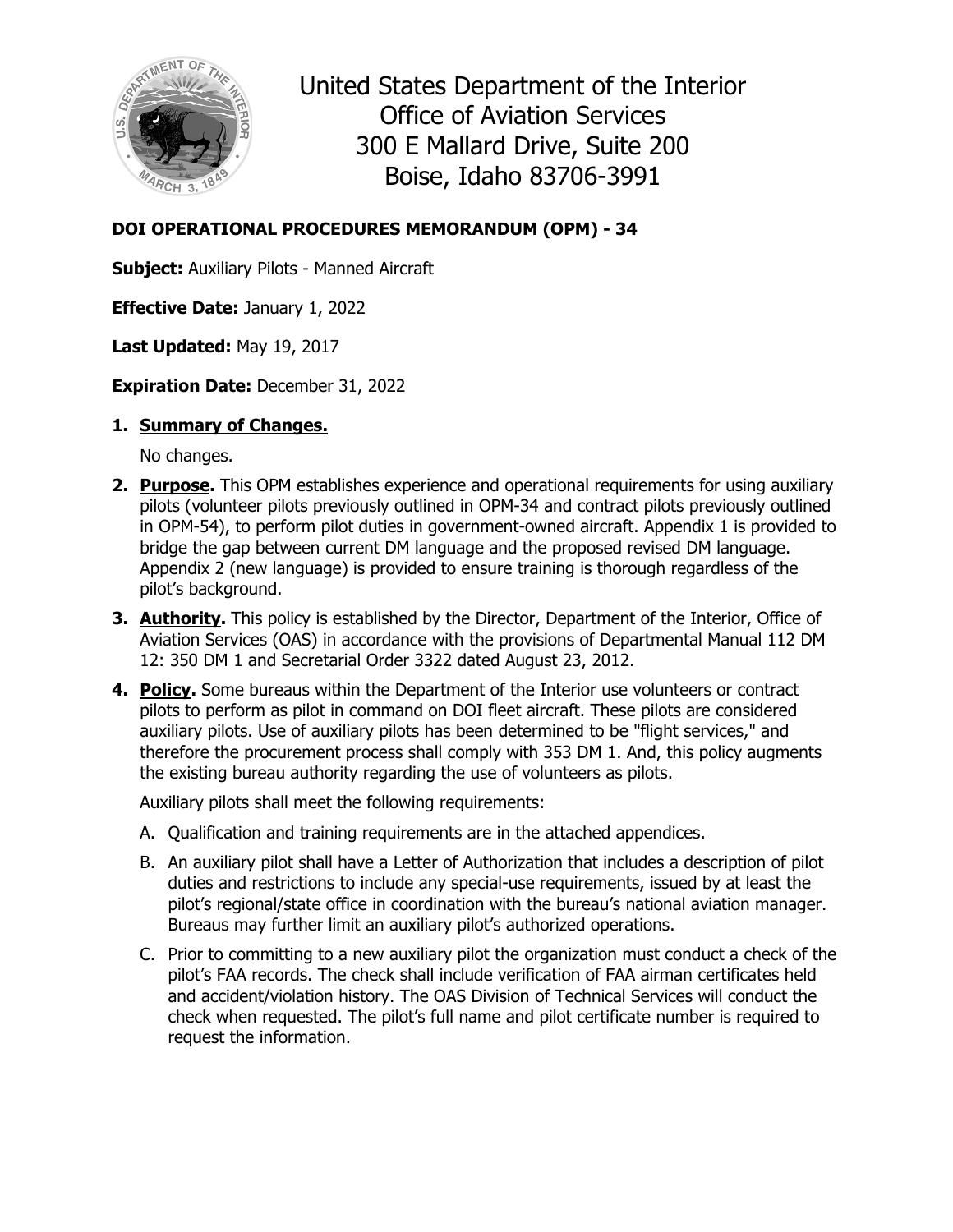

United States Department of the Interior Office of Aviation Services 300 E Mallard Drive, Suite 200 Boise, Idaho 83706-3991

#### **DOI OPERATIONAL PROCEDURES MEMORANDUM (OPM) - 34**

**Subject:** Auxiliary Pilots - Manned Aircraft

**Effective Date:** January 1, 2022

**Last Updated:** May 19, 2017

**Expiration Date:** December 31, 2022

#### **1. Summary of Changes.**

No changes.

- **2. Purpose.** This OPM establishes experience and operational requirements for using auxiliary pilots (volunteer pilots previously outlined in OPM-34 and contract pilots previously outlined in OPM-54), to perform pilot duties in government-owned aircraft. Appendix 1 is provided to bridge the gap between current DM language and the proposed revised DM language. Appendix 2 (new language) is provided to ensure training is thorough regardless of the pilot's background.
- **3. Authority.** This policy is established by the Director, Department of the Interior, Office of Aviation Services (OAS) in accordance with the provisions of Departmental Manual 112 DM 12: 350 DM 1 and Secretarial Order 3322 dated August 23, 2012.
- **4. Policy.** Some bureaus within the Department of the Interior use volunteers or contract pilots to perform as pilot in command on DOI fleet aircraft. These pilots are considered auxiliary pilots. Use of auxiliary pilots has been determined to be "flight services," and therefore the procurement process shall comply with 353 DM 1. And, this policy augments the existing bureau authority regarding the use of volunteers as pilots.

Auxiliary pilots shall meet the following requirements:

- A. Qualification and training requirements are in the attached appendices.
- B. An auxiliary pilot shall have a Letter of Authorization that includes a description of pilot duties and restrictions to include any special-use requirements, issued by at least the pilot's regional/state office in coordination with the bureau's national aviation manager. Bureaus may further limit an auxiliary pilot's authorized operations.
- C. Prior to committing to a new auxiliary pilot the organization must conduct a check of the pilot's FAA records. The check shall include verification of FAA airman certificates held and accident/violation history. The OAS Division of Technical Services will conduct the check when requested. The pilot's full name and pilot certificate number is required to request the information.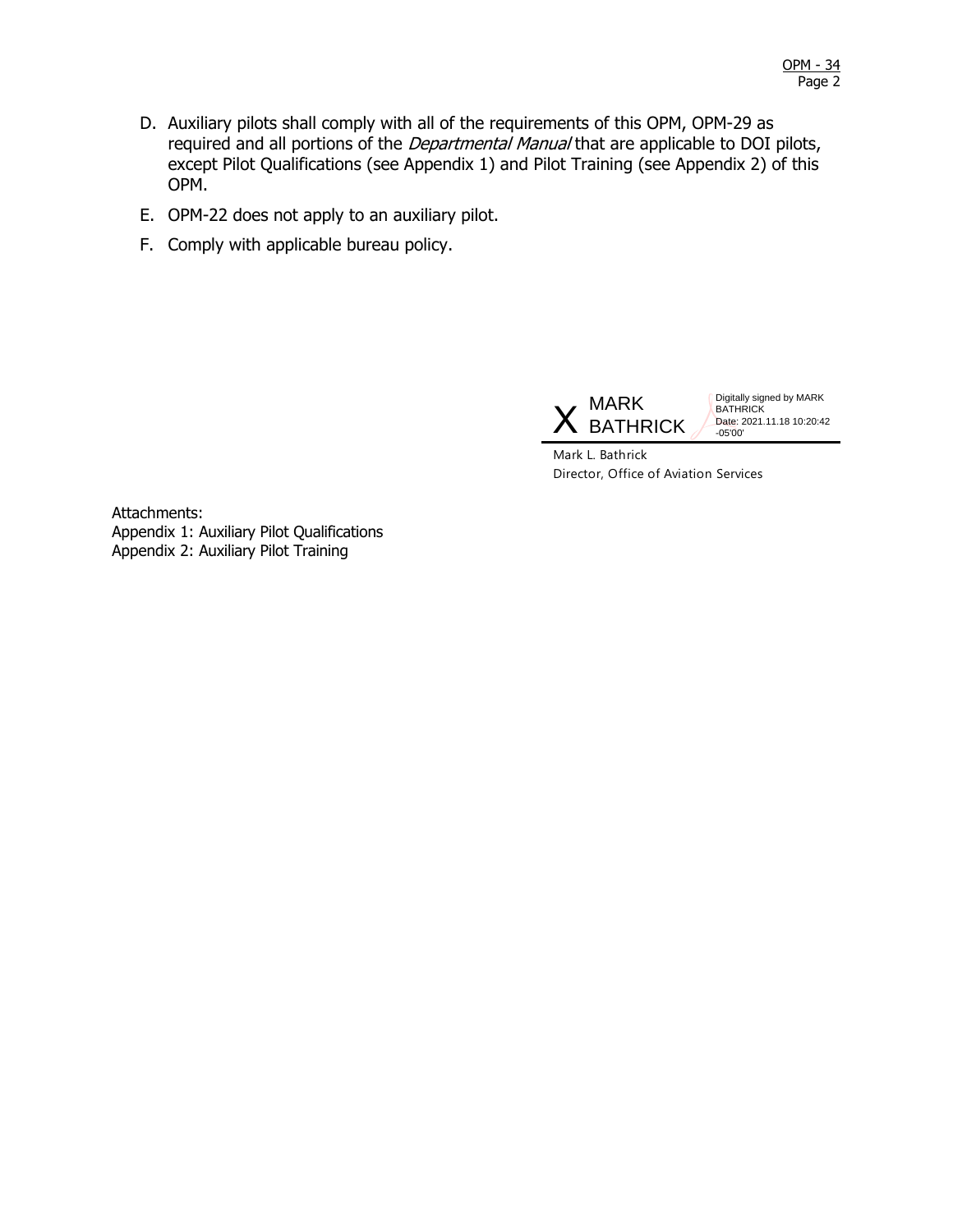- D. Auxiliary pilots shall comply with all of the requirements of this OPM, OPM-29 as required and all portions of the *Departmental Manual* that are applicable to DOI pilots, except Pilot Qualifications (see Appendix 1) and Pilot Training (see Appendix 2) of this OPM.
- E. OPM-22 does not apply to an auxiliary pilot.
- F. Comply with applicable bureau policy.



Digitally signed by MARK **BATHRICK** Date: 2021.11.18 10:20:42 -05'00'

Mark L. Bathrick Director, Office of Aviation Services

Attachments: Appendix 1: Auxiliary Pilot Qualifications Appendix 2: Auxiliary Pilot Training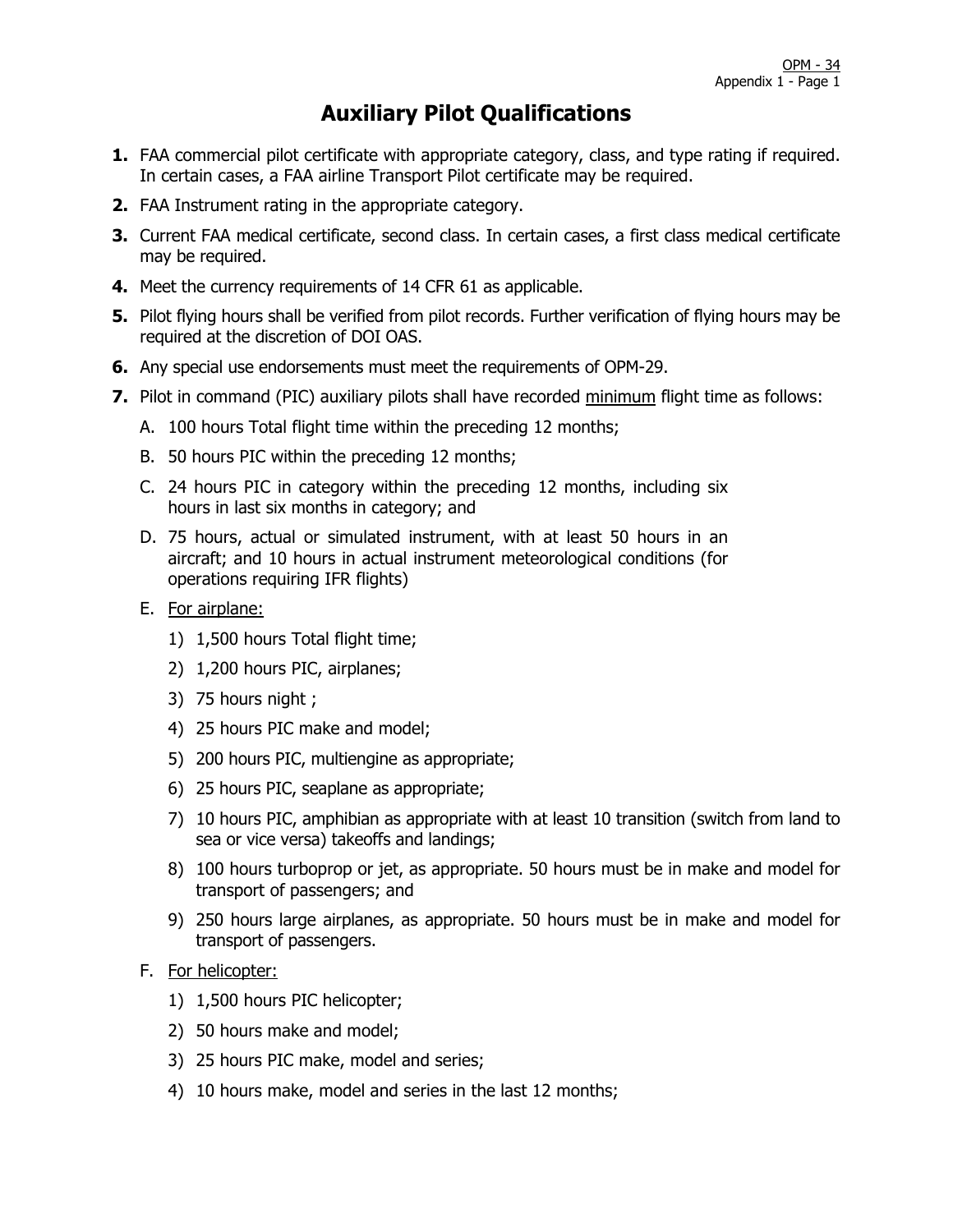### **Auxiliary Pilot Qualifications**

- **1.** FAA commercial pilot certificate with appropriate category, class, and type rating if required. In certain cases, a FAA airline Transport Pilot certificate may be required.
- **2.** FAA Instrument rating in the appropriate category.
- **3.** Current FAA medical certificate, second class. In certain cases, a first class medical certificate may be required.
- **4.** Meet the currency requirements of 14 CFR 61 as applicable.
- **5.** Pilot flying hours shall be verified from pilot records. Further verification of flying hours may be required at the discretion of DOI OAS.
- **6.** Any special use endorsements must meet the requirements of OPM-29.
- **7.** Pilot in command (PIC) auxiliary pilots shall have recorded minimum flight time as follows:
	- A. 100 hours Total flight time within the preceding 12 months;
	- B. 50 hours PIC within the preceding 12 months;
	- C. 24 hours PIC in category within the preceding 12 months, including six hours in last six months in category; and
	- D. 75 hours, actual or simulated instrument, with at least 50 hours in an aircraft; and 10 hours in actual instrument meteorological conditions (for operations requiring IFR flights)
	- E. For airplane:
		- 1) 1,500 hours Total flight time;
		- 2) 1,200 hours PIC, airplanes;
		- 3) 75 hours night ;
		- 4) 25 hours PIC make and model;
		- 5) 200 hours PIC, multiengine as appropriate;
		- 6) 25 hours PIC, seaplane as appropriate;
		- 7) 10 hours PIC, amphibian as appropriate with at least 10 transition (switch from land to sea or vice versa) takeoffs and landings;
		- 8) 100 hours turboprop or jet, as appropriate. 50 hours must be in make and model for transport of passengers; and
		- 9) 250 hours large airplanes, as appropriate. 50 hours must be in make and model for transport of passengers.

#### F. For helicopter:

- 1) 1,500 hours PIC helicopter;
- 2) 50 hours make and model;
- 3) 25 hours PIC make, model and series;
- 4) 10 hours make, model and series in the last 12 months;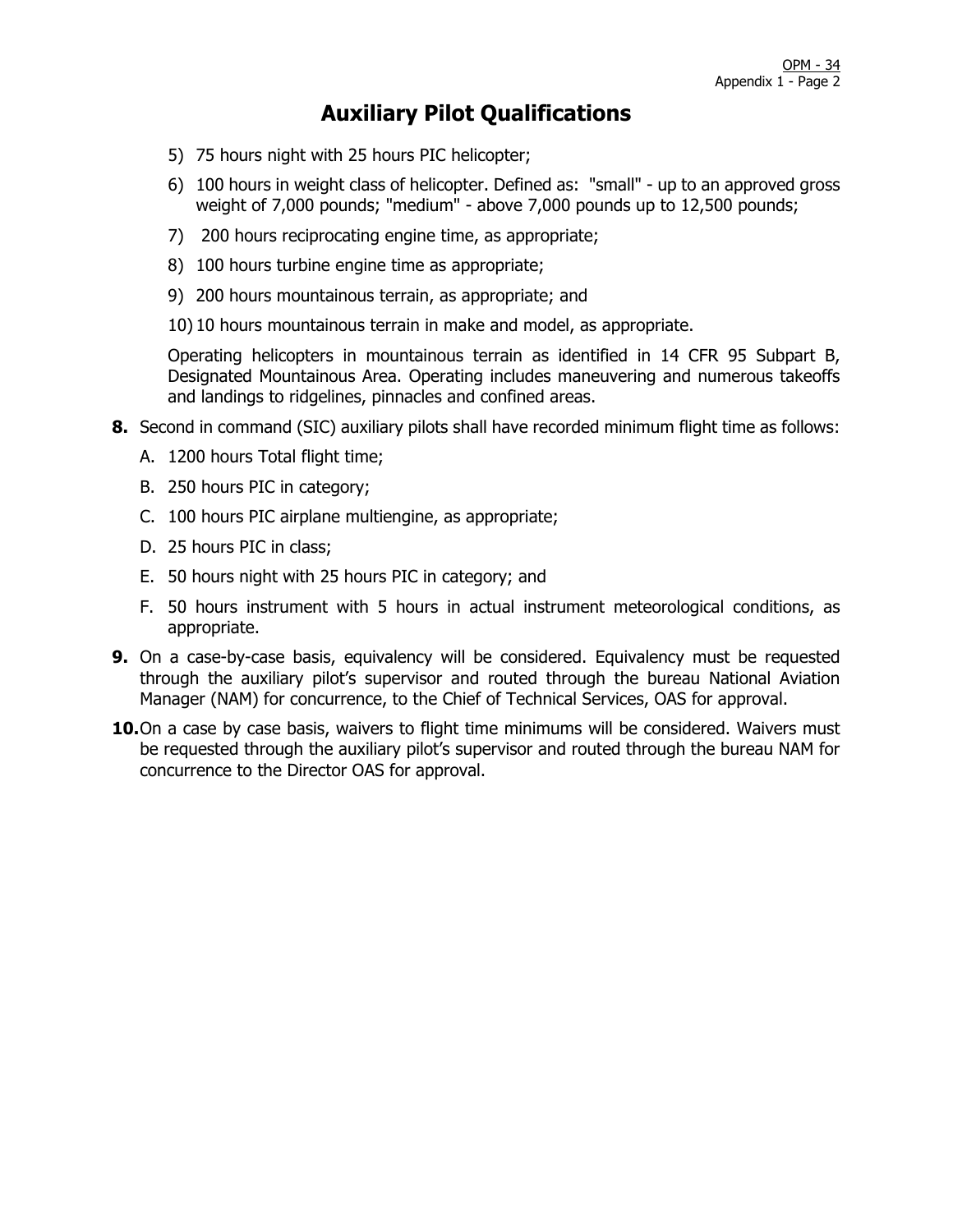#### **Auxiliary Pilot Qualifications**

- 5) 75 hours night with 25 hours PIC helicopter;
- 6) 100 hours in weight class of helicopter. Defined as: "small" up to an approved gross weight of 7,000 pounds; "medium" - above 7,000 pounds up to 12,500 pounds;
- 7) 200 hours reciprocating engine time, as appropriate;
- 8) 100 hours turbine engine time as appropriate;
- 9) 200 hours mountainous terrain, as appropriate; and
- 10) 10 hours mountainous terrain in make and model, as appropriate.

Operating helicopters in mountainous terrain as identified in 14 CFR 95 Subpart B, Designated Mountainous Area. Operating includes maneuvering and numerous takeoffs and landings to ridgelines, pinnacles and confined areas.

- **8.** Second in command (SIC) auxiliary pilots shall have recorded minimum flight time as follows:
	- A. 1200 hours Total flight time;
	- B. 250 hours PIC in category;
	- C. 100 hours PIC airplane multiengine, as appropriate;
	- D. 25 hours PIC in class;
	- E. 50 hours night with 25 hours PIC in category; and
	- F. 50 hours instrument with 5 hours in actual instrument meteorological conditions, as appropriate.
- **9.** On a case-by-case basis, equivalency will be considered. Equivalency must be requested through the auxiliary pilot's supervisor and routed through the bureau National Aviation Manager (NAM) for concurrence, to the Chief of Technical Services, OAS for approval.
- 10.On a case by case basis, waivers to flight time minimums will be considered. Waivers must be requested through the auxiliary pilot's supervisor and routed through the bureau NAM for concurrence to the Director OAS for approval.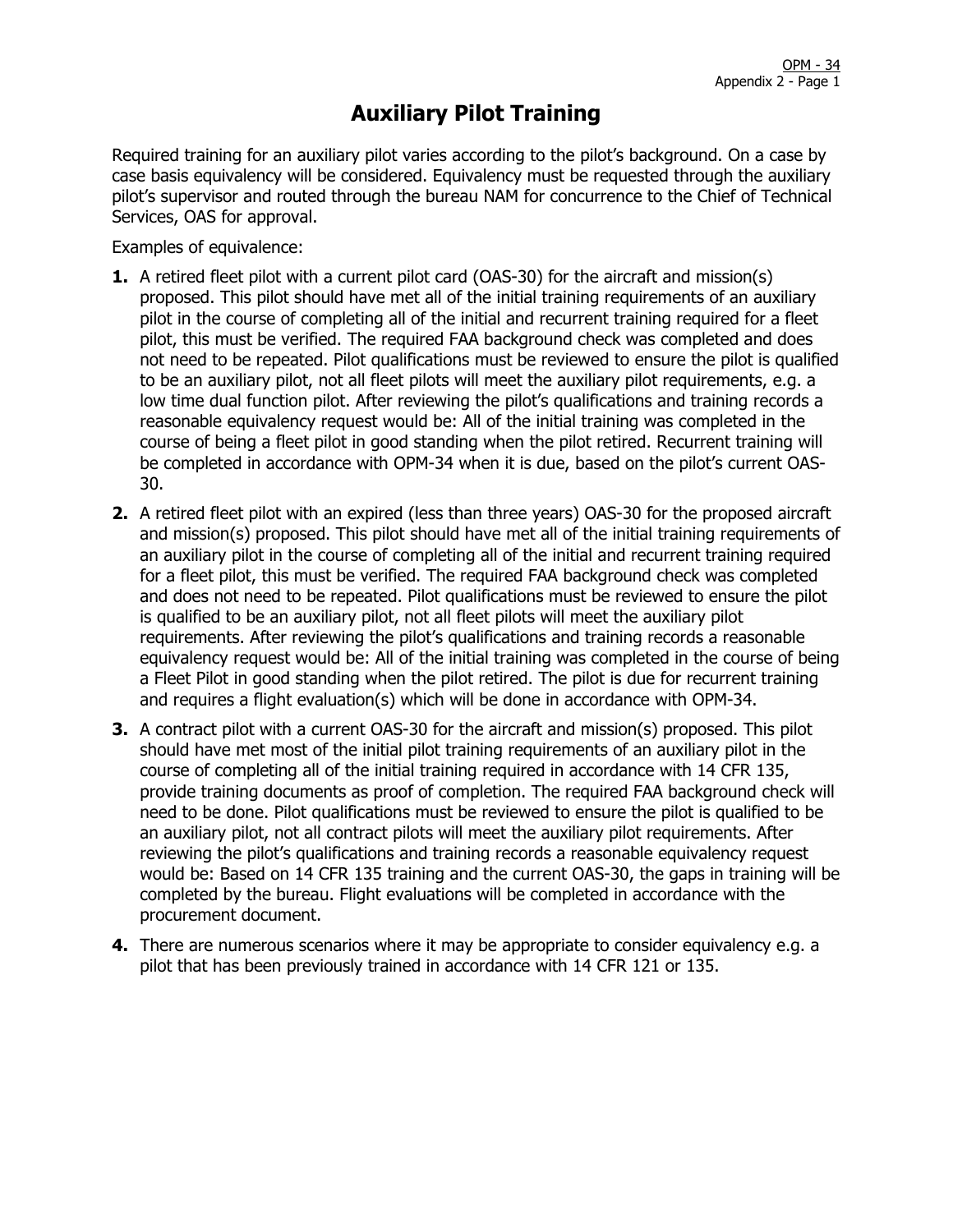Required training for an auxiliary pilot varies according to the pilot's background. On a case by case basis equivalency will be considered. Equivalency must be requested through the auxiliary pilot's supervisor and routed through the bureau NAM for concurrence to the Chief of Technical Services, OAS for approval.

Examples of equivalence:

- **1.** A retired fleet pilot with a current pilot card (OAS-30) for the aircraft and mission(s) proposed. This pilot should have met all of the initial training requirements of an auxiliary pilot in the course of completing all of the initial and recurrent training required for a fleet pilot, this must be verified. The required FAA background check was completed and does not need to be repeated. Pilot qualifications must be reviewed to ensure the pilot is qualified to be an auxiliary pilot, not all fleet pilots will meet the auxiliary pilot requirements, e.g. a low time dual function pilot. After reviewing the pilot's qualifications and training records a reasonable equivalency request would be: All of the initial training was completed in the course of being a fleet pilot in good standing when the pilot retired. Recurrent training will be completed in accordance with OPM-34 when it is due, based on the pilot's current OAS-30.
- **2.** A retired fleet pilot with an expired (less than three years) OAS-30 for the proposed aircraft and mission(s) proposed. This pilot should have met all of the initial training requirements of an auxiliary pilot in the course of completing all of the initial and recurrent training required for a fleet pilot, this must be verified. The required FAA background check was completed and does not need to be repeated. Pilot qualifications must be reviewed to ensure the pilot is qualified to be an auxiliary pilot, not all fleet pilots will meet the auxiliary pilot requirements. After reviewing the pilot's qualifications and training records a reasonable equivalency request would be: All of the initial training was completed in the course of being a Fleet Pilot in good standing when the pilot retired. The pilot is due for recurrent training and requires a flight evaluation(s) which will be done in accordance with OPM-34.
- **3.** A contract pilot with a current OAS-30 for the aircraft and mission(s) proposed. This pilot should have met most of the initial pilot training requirements of an auxiliary pilot in the course of completing all of the initial training required in accordance with 14 CFR 135, provide training documents as proof of completion. The required FAA background check will need to be done. Pilot qualifications must be reviewed to ensure the pilot is qualified to be an auxiliary pilot, not all contract pilots will meet the auxiliary pilot requirements. After reviewing the pilot's qualifications and training records a reasonable equivalency request would be: Based on 14 CFR 135 training and the current OAS-30, the gaps in training will be completed by the bureau. Flight evaluations will be completed in accordance with the procurement document.
- **4.** There are numerous scenarios where it may be appropriate to consider equivalency e.g. a pilot that has been previously trained in accordance with 14 CFR 121 or 135.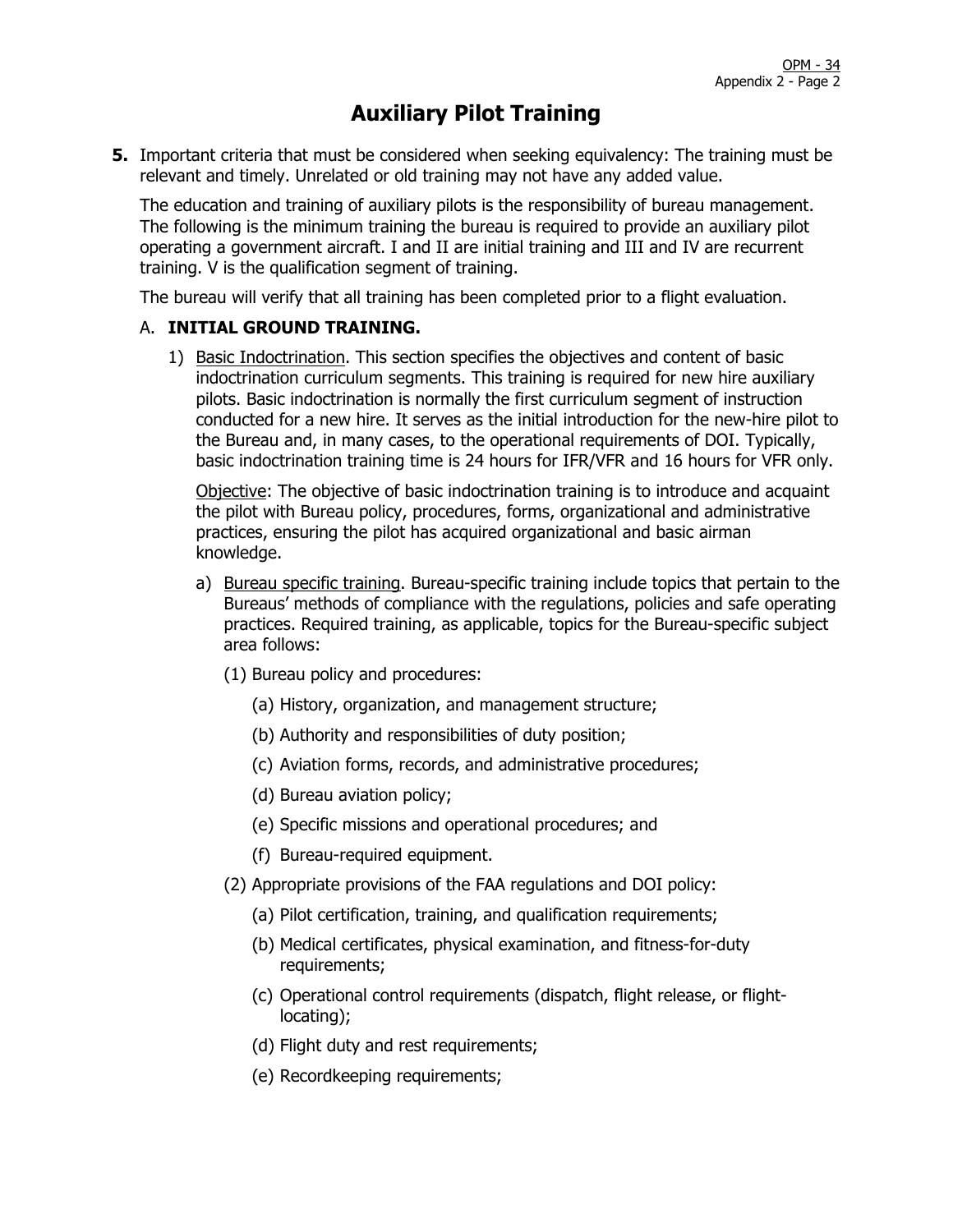**5.** Important criteria that must be considered when seeking equivalency: The training must be relevant and timely. Unrelated or old training may not have any added value.

The education and training of auxiliary pilots is the responsibility of bureau management. The following is the minimum training the bureau is required to provide an auxiliary pilot operating a government aircraft. I and II are initial training and III and IV are recurrent training. V is the qualification segment of training.

The bureau will verify that all training has been completed prior to a flight evaluation.

#### A. **INITIAL GROUND TRAINING.**

1) Basic Indoctrination. This section specifies the objectives and content of basic indoctrination curriculum segments. This training is required for new hire auxiliary pilots. Basic indoctrination is normally the first curriculum segment of instruction conducted for a new hire. It serves as the initial introduction for the new-hire pilot to the Bureau and, in many cases, to the operational requirements of DOI. Typically, basic indoctrination training time is 24 hours for IFR/VFR and 16 hours for VFR only.

Objective: The objective of basic indoctrination training is to introduce and acquaint the pilot with Bureau policy, procedures, forms, organizational and administrative practices, ensuring the pilot has acquired organizational and basic airman knowledge.

- a) Bureau specific training. Bureau-specific training include topics that pertain to the Bureaus' methods of compliance with the regulations, policies and safe operating practices. Required training, as applicable, topics for the Bureau-specific subject area follows:
	- (1) Bureau policy and procedures:
		- (a) History, organization, and management structure;
		- (b) Authority and responsibilities of duty position;
		- (c) Aviation forms, records, and administrative procedures;
		- (d) Bureau aviation policy;
		- (e) Specific missions and operational procedures; and
		- (f) Bureau-required equipment.
	- (2) Appropriate provisions of the FAA regulations and DOI policy:
		- (a) Pilot certification, training, and qualification requirements;
		- (b) Medical certificates, physical examination, and fitness-for-duty requirements;
		- (c) Operational control requirements (dispatch, flight release, or flightlocating);
		- (d) Flight duty and rest requirements;
		- (e) Recordkeeping requirements;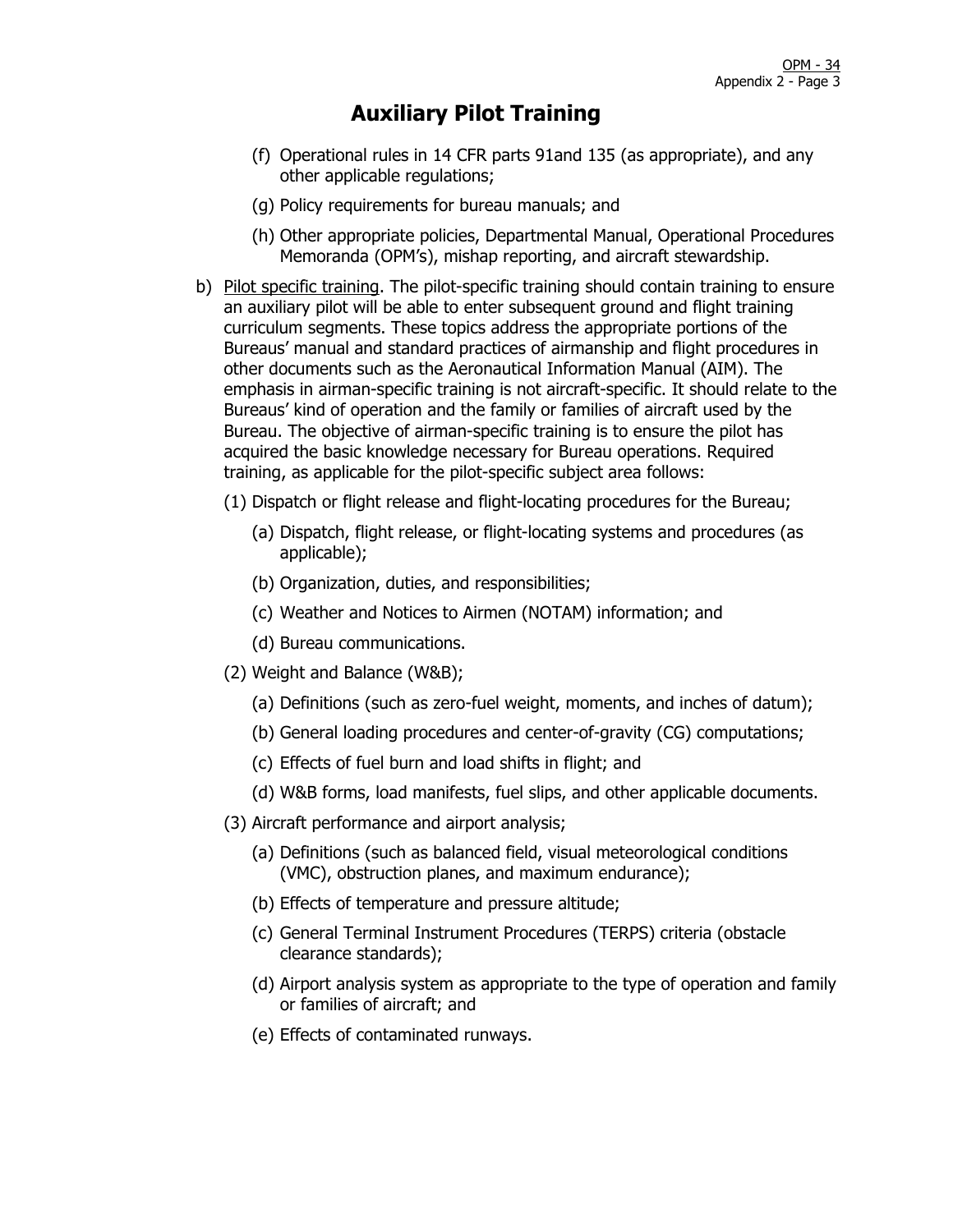- (f) Operational rules in 14 CFR parts 91and 135 (as appropriate), and any other applicable regulations;
- (g) Policy requirements for bureau manuals; and
- (h) Other appropriate policies, Departmental Manual, Operational Procedures Memoranda (OPM's), mishap reporting, and aircraft stewardship.
- b) Pilot specific training. The pilot-specific training should contain training to ensure an auxiliary pilot will be able to enter subsequent ground and flight training curriculum segments. These topics address the appropriate portions of the Bureaus' manual and standard practices of airmanship and flight procedures in other documents such as the Aeronautical Information Manual (AIM). The emphasis in airman-specific training is not aircraft-specific. It should relate to the Bureaus' kind of operation and the family or families of aircraft used by the Bureau. The objective of airman-specific training is to ensure the pilot has acquired the basic knowledge necessary for Bureau operations. Required training, as applicable for the pilot-specific subject area follows:
	- (1) Dispatch or flight release and flight-locating procedures for the Bureau;
		- (a) Dispatch, flight release, or flight-locating systems and procedures (as applicable);
		- (b) Organization, duties, and responsibilities;
		- (c) Weather and Notices to Airmen (NOTAM) information; and
		- (d) Bureau communications.
	- (2) Weight and Balance (W&B);
		- (a) Definitions (such as zero-fuel weight, moments, and inches of datum);
		- (b) General loading procedures and center-of-gravity (CG) computations;
		- (c) Effects of fuel burn and load shifts in flight; and
		- (d) W&B forms, load manifests, fuel slips, and other applicable documents.
	- (3) Aircraft performance and airport analysis;
		- (a) Definitions (such as balanced field, visual meteorological conditions (VMC), obstruction planes, and maximum endurance);
		- (b) Effects of temperature and pressure altitude;
		- (c) General Terminal Instrument Procedures (TERPS) criteria (obstacle clearance standards);
		- (d) Airport analysis system as appropriate to the type of operation and family or families of aircraft; and
		- (e) Effects of contaminated runways.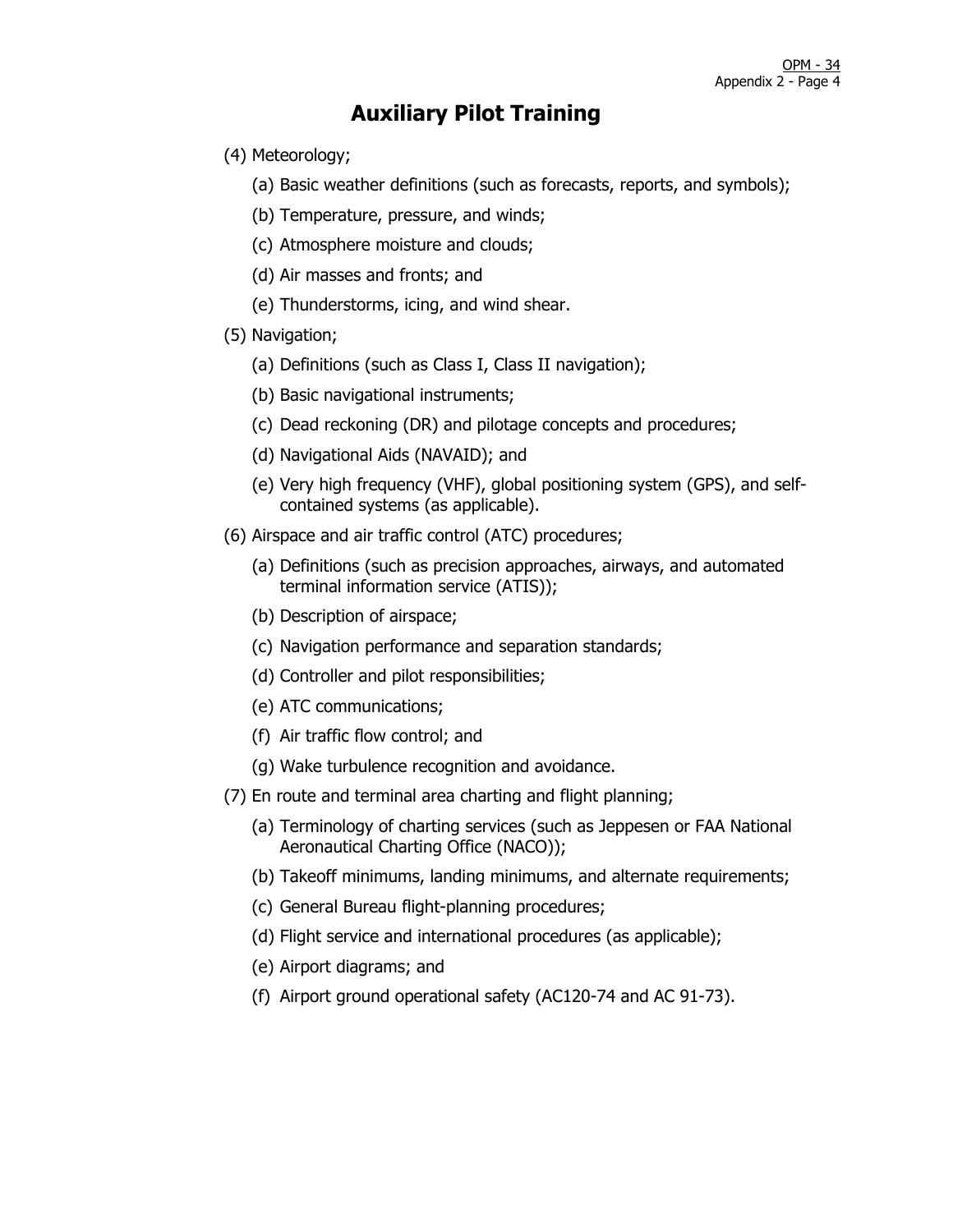- (4) Meteorology;
	- (a) Basic weather definitions (such as forecasts, reports, and symbols);
	- (b) Temperature, pressure, and winds;
	- (c) Atmosphere moisture and clouds;
	- (d) Air masses and fronts; and
	- (e) Thunderstorms, icing, and wind shear.
- (5) Navigation;
	- (a) Definitions (such as Class I, Class II navigation);
	- (b) Basic navigational instruments;
	- (c) Dead reckoning (DR) and pilotage concepts and procedures;
	- (d) Navigational Aids (NAVAID); and
	- (e) Very high frequency (VHF), global positioning system (GPS), and selfcontained systems (as applicable).
- (6) Airspace and air traffic control (ATC) procedures;
	- (a) Definitions (such as precision approaches, airways, and automated terminal information service (ATIS));
	- (b) Description of airspace;
	- (c) Navigation performance and separation standards;
	- (d) Controller and pilot responsibilities;
	- (e) ATC communications;
	- (f) Air traffic flow control; and
	- (g) Wake turbulence recognition and avoidance.
- (7) En route and terminal area charting and flight planning;
	- (a) Terminology of charting services (such as Jeppesen or FAA National Aeronautical Charting Office (NACO));
	- (b) Takeoff minimums, landing minimums, and alternate requirements;
	- (c) General Bureau flight-planning procedures;
	- (d) Flight service and international procedures (as applicable);
	- (e) Airport diagrams; and
	- (f) Airport ground operational safety (AC120-74 and AC 91-73).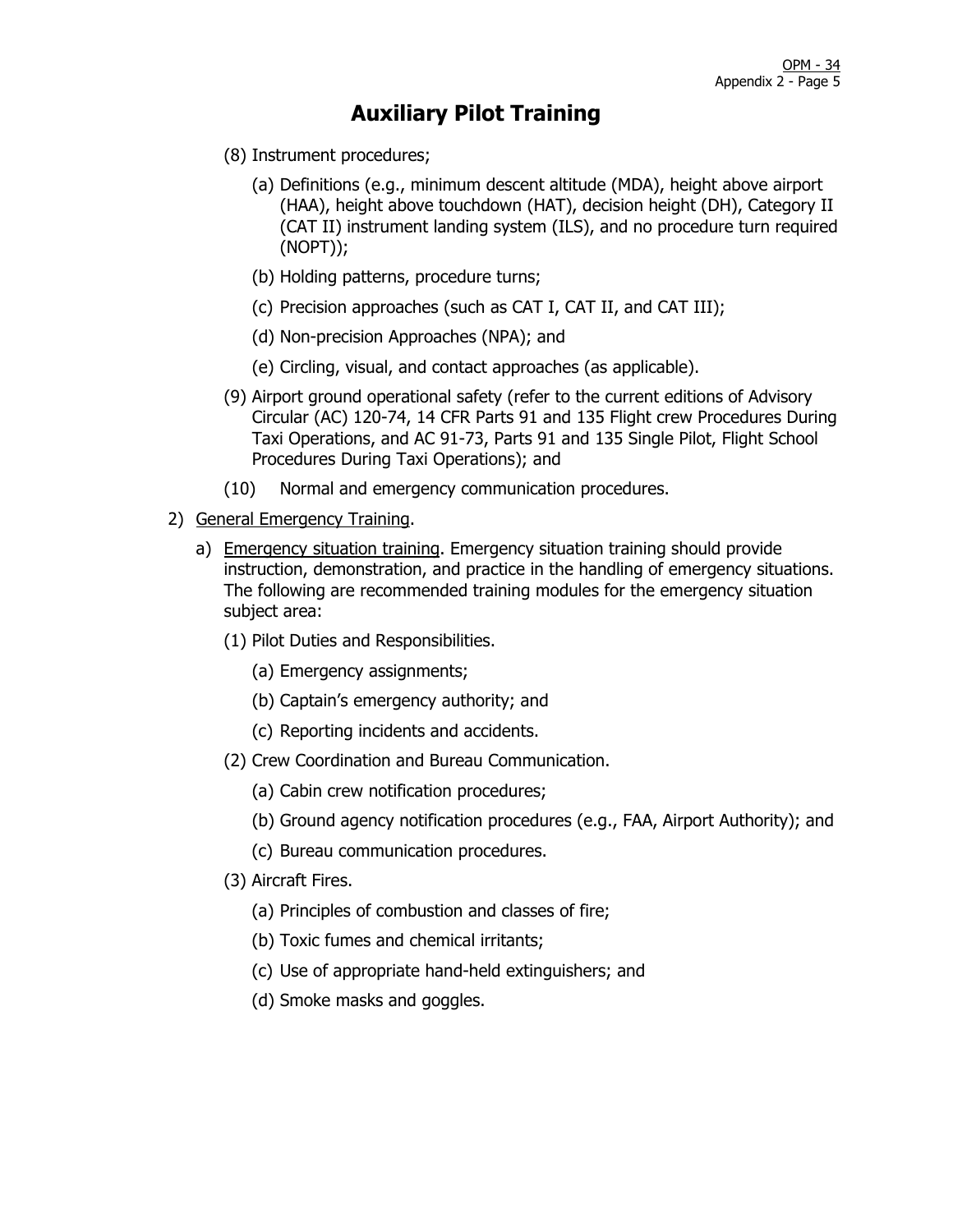- (8) Instrument procedures;
	- (a) Definitions (e.g., minimum descent altitude (MDA), height above airport (HAA), height above touchdown (HAT), decision height (DH), Category II (CAT II) instrument landing system (ILS), and no procedure turn required (NOPT));
	- (b) Holding patterns, procedure turns;
	- (c) Precision approaches (such as CAT I, CAT II, and CAT III);
	- (d) Non-precision Approaches (NPA); and
	- (e) Circling, visual, and contact approaches (as applicable).
- (9) Airport ground operational safety (refer to the current editions of Advisory Circular (AC) 120-74, 14 CFR Parts 91 and 135 Flight crew Procedures During Taxi Operations, and AC 91-73, Parts 91 and 135 Single Pilot, Flight School Procedures During Taxi Operations); and
- (10) Normal and emergency communication procedures.
- 2) General Emergency Training.
	- a) Emergency situation training. Emergency situation training should provide instruction, demonstration, and practice in the handling of emergency situations. The following are recommended training modules for the emergency situation subject area:
		- (1) Pilot Duties and Responsibilities.
			- (a) Emergency assignments;
			- (b) Captain's emergency authority; and
			- (c) Reporting incidents and accidents.
		- (2) Crew Coordination and Bureau Communication.
			- (a) Cabin crew notification procedures;
			- (b) Ground agency notification procedures (e.g., FAA, Airport Authority); and
			- (c) Bureau communication procedures.
		- (3) Aircraft Fires.
			- (a) Principles of combustion and classes of fire;
			- (b) Toxic fumes and chemical irritants;
			- (c) Use of appropriate hand-held extinguishers; and
			- (d) Smoke masks and goggles.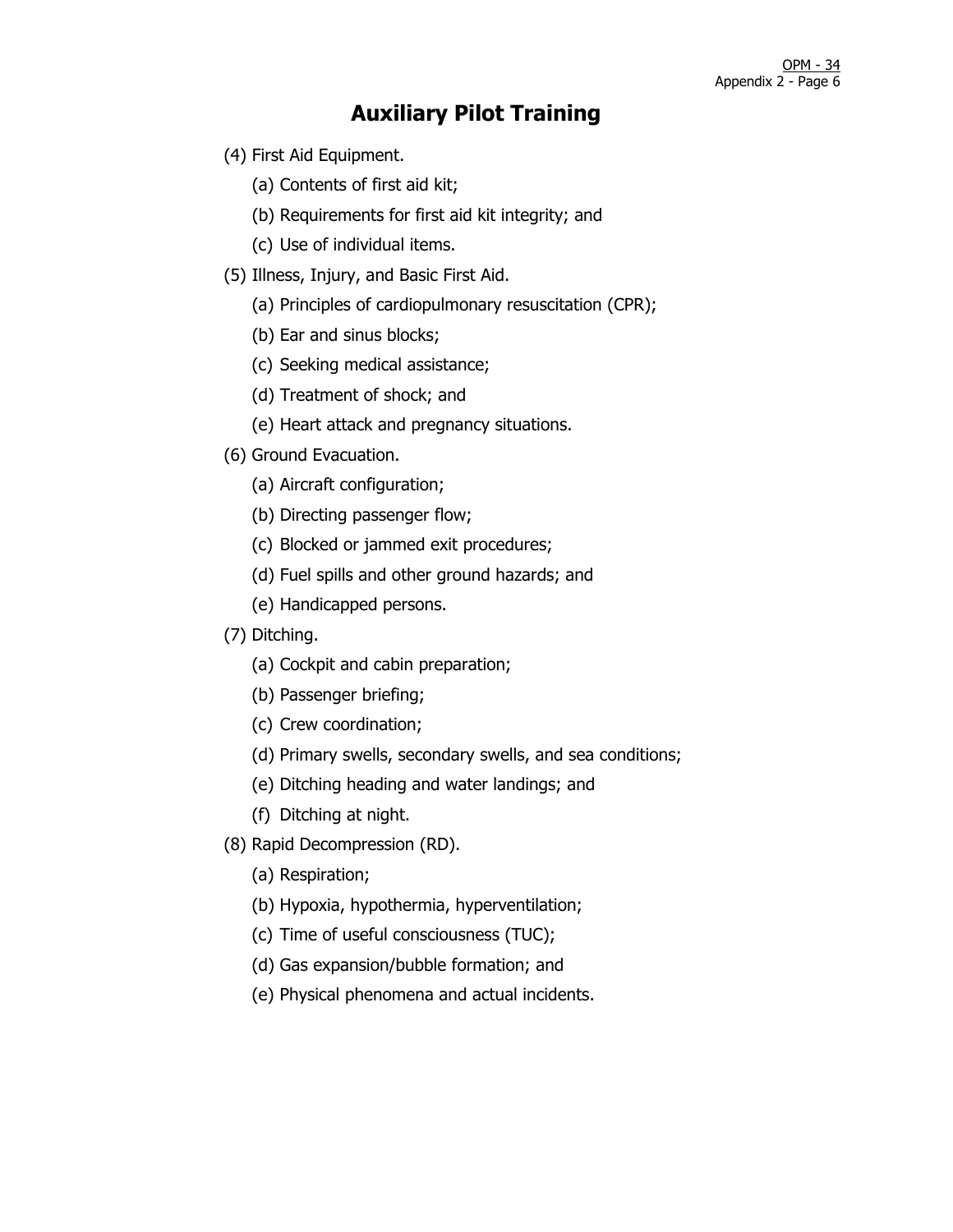- (4) First Aid Equipment.
	- (a) Contents of first aid kit;
	- (b) Requirements for first aid kit integrity; and
	- (c) Use of individual items.
- (5) Illness, Injury, and Basic First Aid.
	- (a) Principles of cardiopulmonary resuscitation (CPR);
	- (b) Ear and sinus blocks;
	- (c) Seeking medical assistance;
	- (d) Treatment of shock; and
	- (e) Heart attack and pregnancy situations.
- (6) Ground Evacuation.
	- (a) Aircraft configuration;
	- (b) Directing passenger flow;
	- (c) Blocked or jammed exit procedures;
	- (d) Fuel spills and other ground hazards; and
	- (e) Handicapped persons.
- (7) Ditching.
	- (a) Cockpit and cabin preparation;
	- (b) Passenger briefing;
	- (c) Crew coordination;
	- (d) Primary swells, secondary swells, and sea conditions;
	- (e) Ditching heading and water landings; and
	- (f) Ditching at night.
- (8) Rapid Decompression (RD).
	- (a) Respiration;
	- (b) Hypoxia, hypothermia, hyperventilation;
	- (c) Time of useful consciousness (TUC);
	- (d) Gas expansion/bubble formation; and
	- (e) Physical phenomena and actual incidents.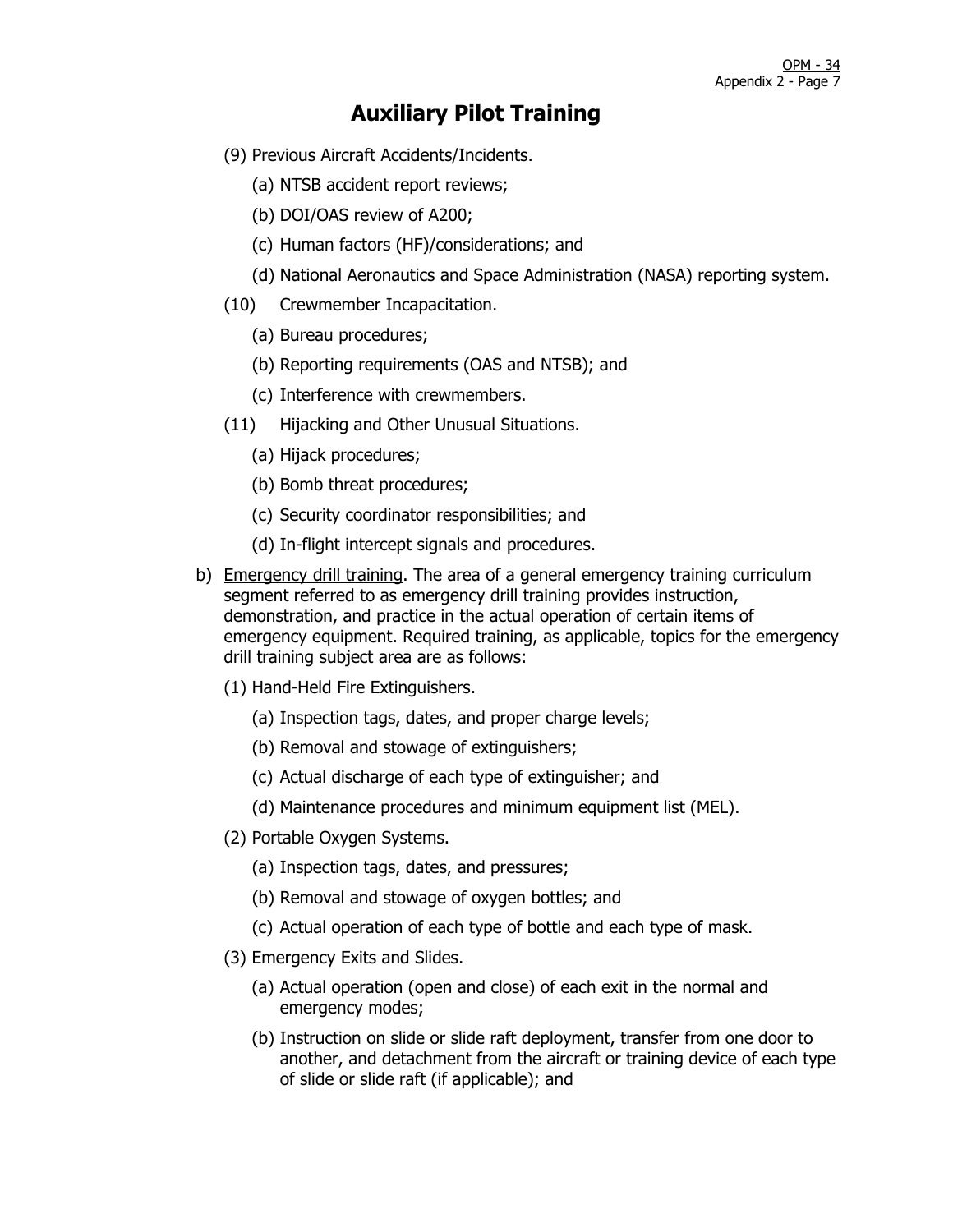- (9) Previous Aircraft Accidents/Incidents.
	- (a) NTSB accident report reviews;
	- (b) DOI/OAS review of A200;
	- (c) Human factors (HF)/considerations; and
	- (d) National Aeronautics and Space Administration (NASA) reporting system.
- (10) Crewmember Incapacitation.
	- (a) Bureau procedures;
	- (b) Reporting requirements (OAS and NTSB); and
	- (c) Interference with crewmembers.
- (11) Hijacking and Other Unusual Situations.
	- (a) Hijack procedures;
	- (b) Bomb threat procedures;
	- (c) Security coordinator responsibilities; and
	- (d) In-flight intercept signals and procedures.
- b) Emergency drill training. The area of a general emergency training curriculum segment referred to as emergency drill training provides instruction, demonstration, and practice in the actual operation of certain items of emergency equipment. Required training, as applicable, topics for the emergency drill training subject area are as follows:
	- (1) Hand-Held Fire Extinguishers.
		- (a) Inspection tags, dates, and proper charge levels;
		- (b) Removal and stowage of extinguishers;
		- (c) Actual discharge of each type of extinguisher; and
		- (d) Maintenance procedures and minimum equipment list (MEL).
	- (2) Portable Oxygen Systems.
		- (a) Inspection tags, dates, and pressures;
		- (b) Removal and stowage of oxygen bottles; and
		- (c) Actual operation of each type of bottle and each type of mask.
	- (3) Emergency Exits and Slides.
		- (a) Actual operation (open and close) of each exit in the normal and emergency modes;
		- (b) Instruction on slide or slide raft deployment, transfer from one door to another, and detachment from the aircraft or training device of each type of slide or slide raft (if applicable); and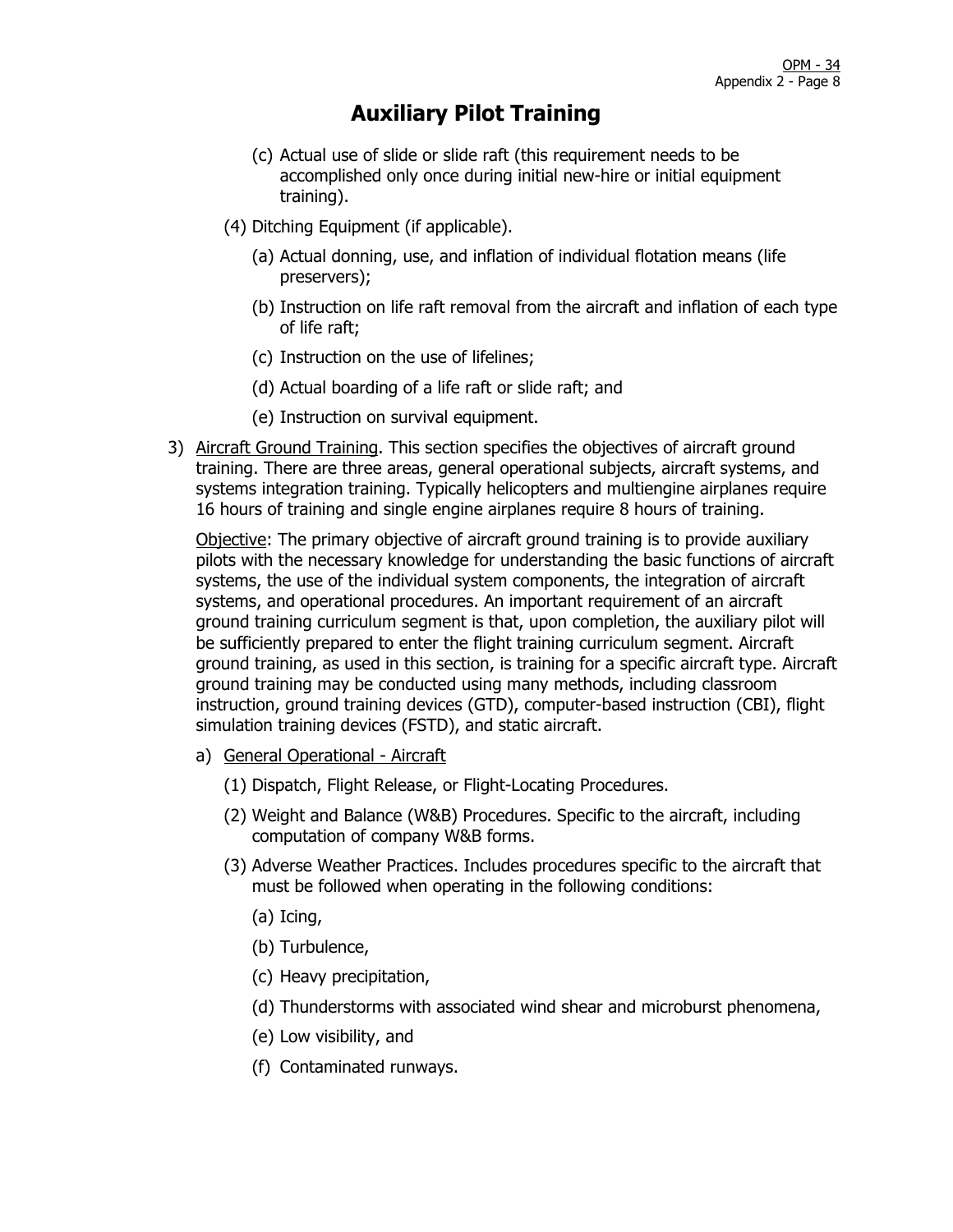- (c) Actual use of slide or slide raft (this requirement needs to be accomplished only once during initial new-hire or initial equipment training).
- (4) Ditching Equipment (if applicable).
	- (a) Actual donning, use, and inflation of individual flotation means (life preservers);
	- (b) Instruction on life raft removal from the aircraft and inflation of each type of life raft;
	- (c) Instruction on the use of lifelines;
	- (d) Actual boarding of a life raft or slide raft; and
	- (e) Instruction on survival equipment.
- 3) Aircraft Ground Training. This section specifies the objectives of aircraft ground training. There are three areas, general operational subjects, aircraft systems, and systems integration training. Typically helicopters and multiengine airplanes require 16 hours of training and single engine airplanes require 8 hours of training.

Objective: The primary objective of aircraft ground training is to provide auxiliary pilots with the necessary knowledge for understanding the basic functions of aircraft systems, the use of the individual system components, the integration of aircraft systems, and operational procedures. An important requirement of an aircraft ground training curriculum segment is that, upon completion, the auxiliary pilot will be sufficiently prepared to enter the flight training curriculum segment. Aircraft ground training, as used in this section, is training for a specific aircraft type. Aircraft ground training may be conducted using many methods, including classroom instruction, ground training devices (GTD), computer-based instruction (CBI), flight simulation training devices (FSTD), and static aircraft.

- a) General Operational Aircraft
	- (1) Dispatch, Flight Release, or Flight-Locating Procedures.
	- (2) Weight and Balance (W&B) Procedures. Specific to the aircraft, including computation of company W&B forms.
	- (3) Adverse Weather Practices. Includes procedures specific to the aircraft that must be followed when operating in the following conditions:
		- (a) Icing,
		- (b) Turbulence,
		- (c) Heavy precipitation,
		- (d) Thunderstorms with associated wind shear and microburst phenomena,
		- (e) Low visibility, and
		- (f) Contaminated runways.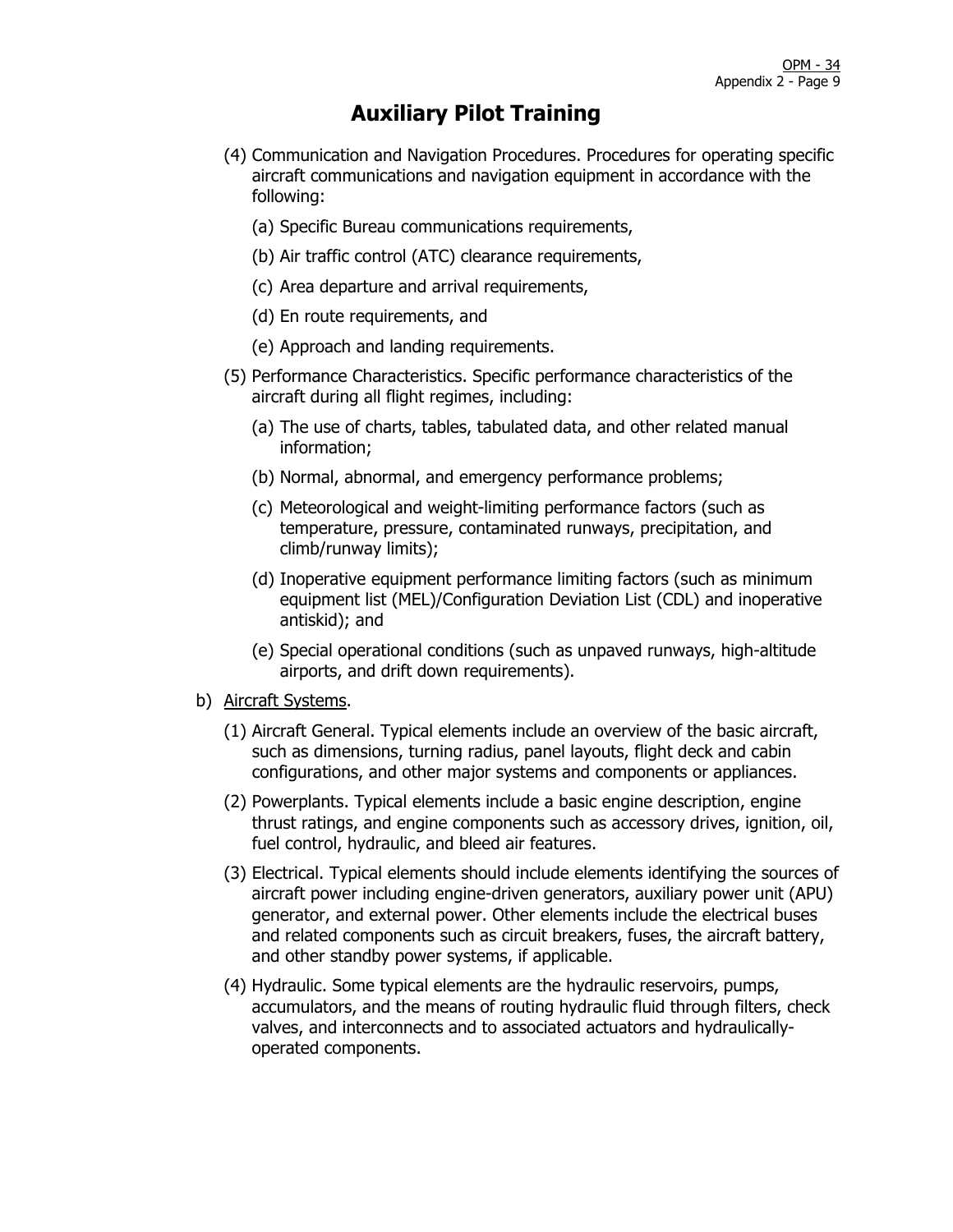- (4) Communication and Navigation Procedures. Procedures for operating specific aircraft communications and navigation equipment in accordance with the following:
	- (a) Specific Bureau communications requirements,
	- (b) Air traffic control (ATC) clearance requirements,
	- (c) Area departure and arrival requirements,
	- (d) En route requirements, and
	- (e) Approach and landing requirements.
- (5) Performance Characteristics. Specific performance characteristics of the aircraft during all flight regimes, including:
	- (a) The use of charts, tables, tabulated data, and other related manual information;
	- (b) Normal, abnormal, and emergency performance problems;
	- (c) Meteorological and weight-limiting performance factors (such as temperature, pressure, contaminated runways, precipitation, and climb/runway limits);
	- (d) Inoperative equipment performance limiting factors (such as minimum equipment list (MEL)/Configuration Deviation List (CDL) and inoperative antiskid); and
	- (e) Special operational conditions (such as unpaved runways, high-altitude airports, and drift down requirements).
- b) Aircraft Systems.
	- (1) Aircraft General. Typical elements include an overview of the basic aircraft, such as dimensions, turning radius, panel layouts, flight deck and cabin configurations, and other major systems and components or appliances.
	- (2) Powerplants. Typical elements include a basic engine description, engine thrust ratings, and engine components such as accessory drives, ignition, oil, fuel control, hydraulic, and bleed air features.
	- (3) Electrical. Typical elements should include elements identifying the sources of aircraft power including engine-driven generators, auxiliary power unit (APU) generator, and external power. Other elements include the electrical buses and related components such as circuit breakers, fuses, the aircraft battery, and other standby power systems, if applicable.
	- (4) Hydraulic. Some typical elements are the hydraulic reservoirs, pumps, accumulators, and the means of routing hydraulic fluid through filters, check valves, and interconnects and to associated actuators and hydraulicallyoperated components.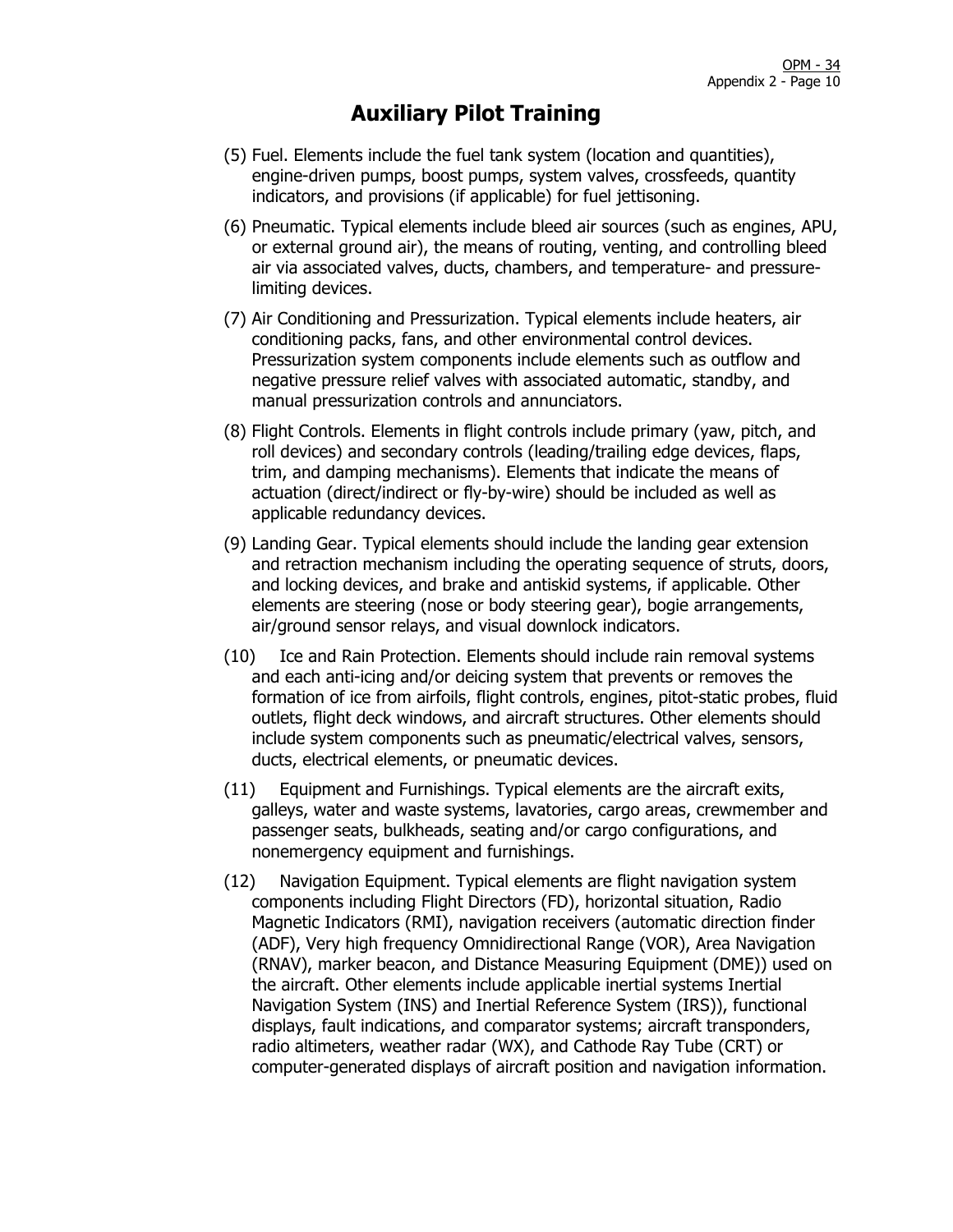- (5) Fuel. Elements include the fuel tank system (location and quantities), engine-driven pumps, boost pumps, system valves, crossfeeds, quantity indicators, and provisions (if applicable) for fuel jettisoning.
- (6) Pneumatic. Typical elements include bleed air sources (such as engines, APU, or external ground air), the means of routing, venting, and controlling bleed air via associated valves, ducts, chambers, and temperature- and pressurelimiting devices.
- (7) Air Conditioning and Pressurization. Typical elements include heaters, air conditioning packs, fans, and other environmental control devices. Pressurization system components include elements such as outflow and negative pressure relief valves with associated automatic, standby, and manual pressurization controls and annunciators.
- (8) Flight Controls. Elements in flight controls include primary (yaw, pitch, and roll devices) and secondary controls (leading/trailing edge devices, flaps, trim, and damping mechanisms). Elements that indicate the means of actuation (direct/indirect or fly-by-wire) should be included as well as applicable redundancy devices.
- (9) Landing Gear. Typical elements should include the landing gear extension and retraction mechanism including the operating sequence of struts, doors, and locking devices, and brake and antiskid systems, if applicable. Other elements are steering (nose or body steering gear), bogie arrangements, air/ground sensor relays, and visual downlock indicators.
- (10) Ice and Rain Protection. Elements should include rain removal systems and each anti-icing and/or deicing system that prevents or removes the formation of ice from airfoils, flight controls, engines, pitot-static probes, fluid outlets, flight deck windows, and aircraft structures. Other elements should include system components such as pneumatic/electrical valves, sensors, ducts, electrical elements, or pneumatic devices.
- (11) Equipment and Furnishings. Typical elements are the aircraft exits, galleys, water and waste systems, lavatories, cargo areas, crewmember and passenger seats, bulkheads, seating and/or cargo configurations, and nonemergency equipment and furnishings.
- (12) Navigation Equipment. Typical elements are flight navigation system components including Flight Directors (FD), horizontal situation, Radio Magnetic Indicators (RMI), navigation receivers (automatic direction finder (ADF), Very high frequency Omnidirectional Range (VOR), Area Navigation (RNAV), marker beacon, and Distance Measuring Equipment (DME)) used on the aircraft. Other elements include applicable inertial systems Inertial Navigation System (INS) and Inertial Reference System (IRS)), functional displays, fault indications, and comparator systems; aircraft transponders, radio altimeters, weather radar (WX), and Cathode Ray Tube (CRT) or computer-generated displays of aircraft position and navigation information.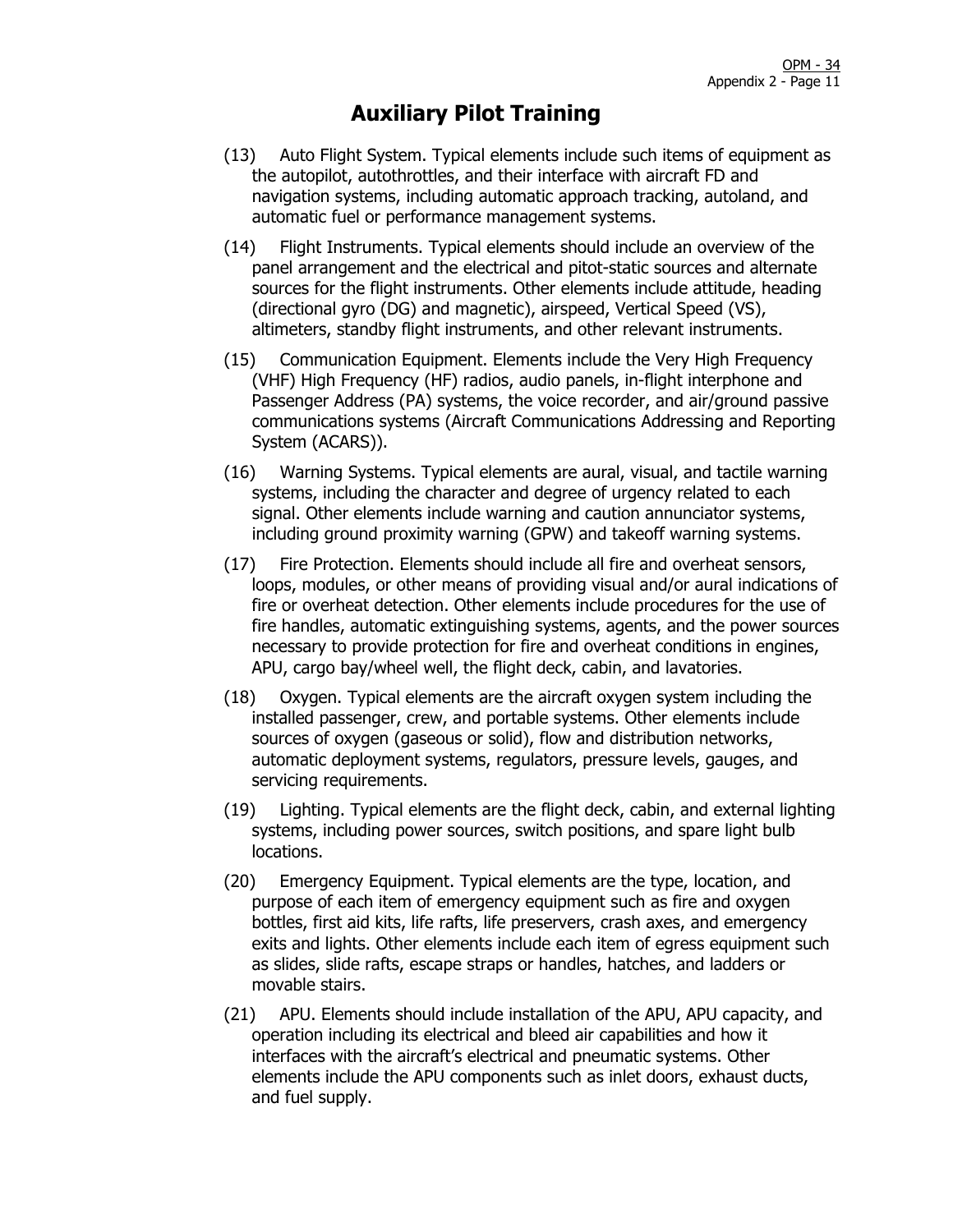- (13) Auto Flight System. Typical elements include such items of equipment as the autopilot, autothrottles, and their interface with aircraft FD and navigation systems, including automatic approach tracking, autoland, and automatic fuel or performance management systems.
- (14) Flight Instruments. Typical elements should include an overview of the panel arrangement and the electrical and pitot-static sources and alternate sources for the flight instruments. Other elements include attitude, heading (directional gyro (DG) and magnetic), airspeed, Vertical Speed (VS), altimeters, standby flight instruments, and other relevant instruments.
- (15) Communication Equipment. Elements include the Very High Frequency (VHF) High Frequency (HF) radios, audio panels, in-flight interphone and Passenger Address (PA) systems, the voice recorder, and air/ground passive communications systems (Aircraft Communications Addressing and Reporting System (ACARS)).
- (16) Warning Systems. Typical elements are aural, visual, and tactile warning systems, including the character and degree of urgency related to each signal. Other elements include warning and caution annunciator systems, including ground proximity warning (GPW) and takeoff warning systems.
- (17) Fire Protection. Elements should include all fire and overheat sensors, loops, modules, or other means of providing visual and/or aural indications of fire or overheat detection. Other elements include procedures for the use of fire handles, automatic extinguishing systems, agents, and the power sources necessary to provide protection for fire and overheat conditions in engines, APU, cargo bay/wheel well, the flight deck, cabin, and lavatories.
- (18) Oxygen. Typical elements are the aircraft oxygen system including the installed passenger, crew, and portable systems. Other elements include sources of oxygen (gaseous or solid), flow and distribution networks, automatic deployment systems, regulators, pressure levels, gauges, and servicing requirements.
- (19) Lighting. Typical elements are the flight deck, cabin, and external lighting systems, including power sources, switch positions, and spare light bulb locations.
- (20) Emergency Equipment. Typical elements are the type, location, and purpose of each item of emergency equipment such as fire and oxygen bottles, first aid kits, life rafts, life preservers, crash axes, and emergency exits and lights. Other elements include each item of egress equipment such as slides, slide rafts, escape straps or handles, hatches, and ladders or movable stairs.
- (21) APU. Elements should include installation of the APU, APU capacity, and operation including its electrical and bleed air capabilities and how it interfaces with the aircraft's electrical and pneumatic systems. Other elements include the APU components such as inlet doors, exhaust ducts, and fuel supply.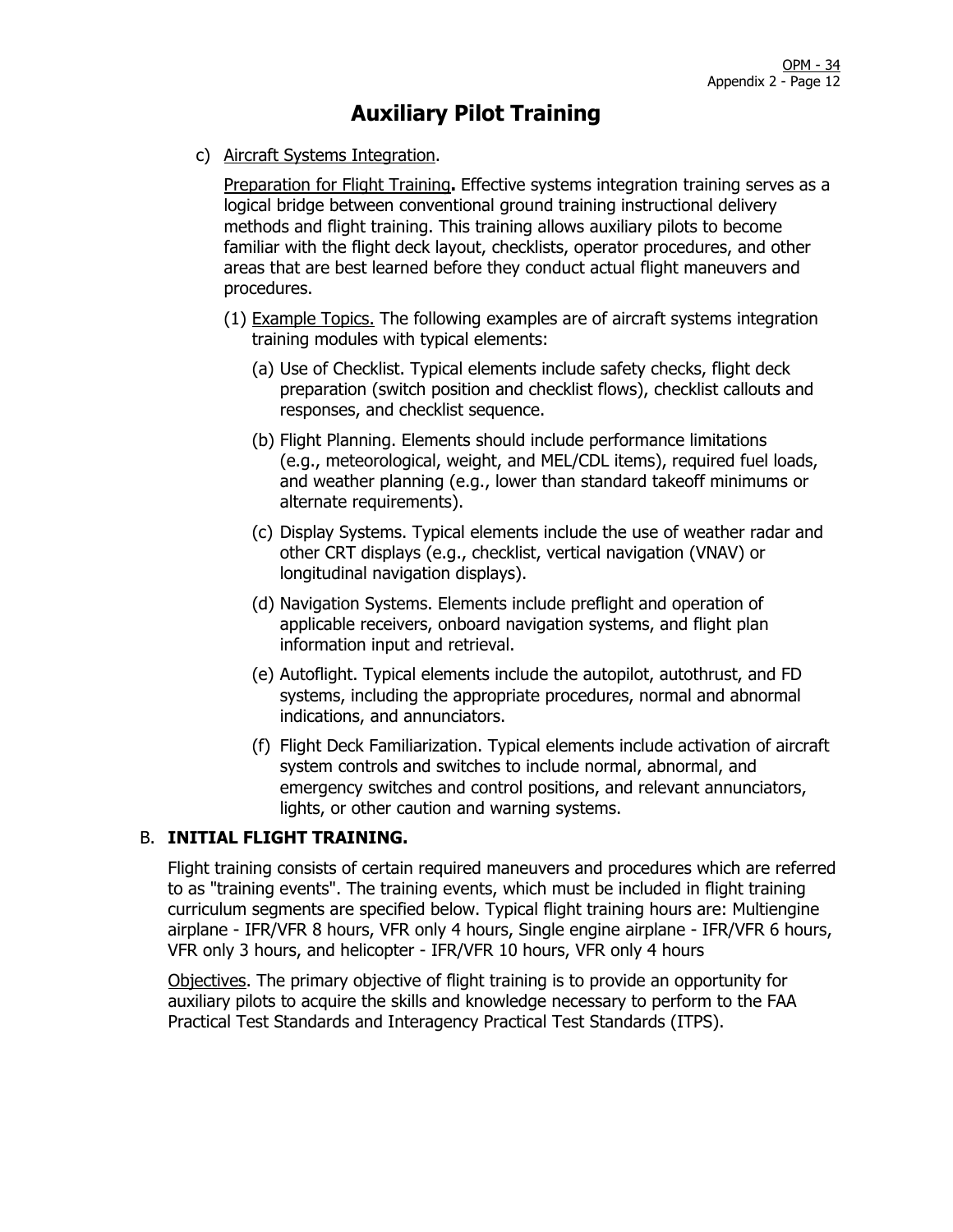c) Aircraft Systems Integration.

Preparation for Flight Training**.** Effective systems integration training serves as a logical bridge between conventional ground training instructional delivery methods and flight training. This training allows auxiliary pilots to become familiar with the flight deck layout, checklists, operator procedures, and other areas that are best learned before they conduct actual flight maneuvers and procedures.

- (1) Example Topics. The following examples are of aircraft systems integration training modules with typical elements:
	- (a) Use of Checklist. Typical elements include safety checks, flight deck preparation (switch position and checklist flows), checklist callouts and responses, and checklist sequence.
	- (b) Flight Planning. Elements should include performance limitations (e.g., meteorological, weight, and MEL/CDL items), required fuel loads, and weather planning (e.g., lower than standard takeoff minimums or alternate requirements).
	- (c) Display Systems. Typical elements include the use of weather radar and other CRT displays (e.g., checklist, vertical navigation (VNAV) or longitudinal navigation displays).
	- (d) Navigation Systems. Elements include preflight and operation of applicable receivers, onboard navigation systems, and flight plan information input and retrieval.
	- (e) Autoflight. Typical elements include the autopilot, autothrust, and FD systems, including the appropriate procedures, normal and abnormal indications, and annunciators.
	- (f) Flight Deck Familiarization. Typical elements include activation of aircraft system controls and switches to include normal, abnormal, and emergency switches and control positions, and relevant annunciators, lights, or other caution and warning systems.

#### B. **INITIAL FLIGHT TRAINING.**

Flight training consists of certain required maneuvers and procedures which are referred to as "training events". The training events, which must be included in flight training curriculum segments are specified below. Typical flight training hours are: Multiengine airplane - IFR/VFR 8 hours, VFR only 4 hours, Single engine airplane - IFR/VFR 6 hours, VFR only 3 hours, and helicopter - IFR/VFR 10 hours, VFR only 4 hours

Objectives. The primary objective of flight training is to provide an opportunity for auxiliary pilots to acquire the skills and knowledge necessary to perform to the FAA Practical Test Standards and Interagency Practical Test Standards (ITPS).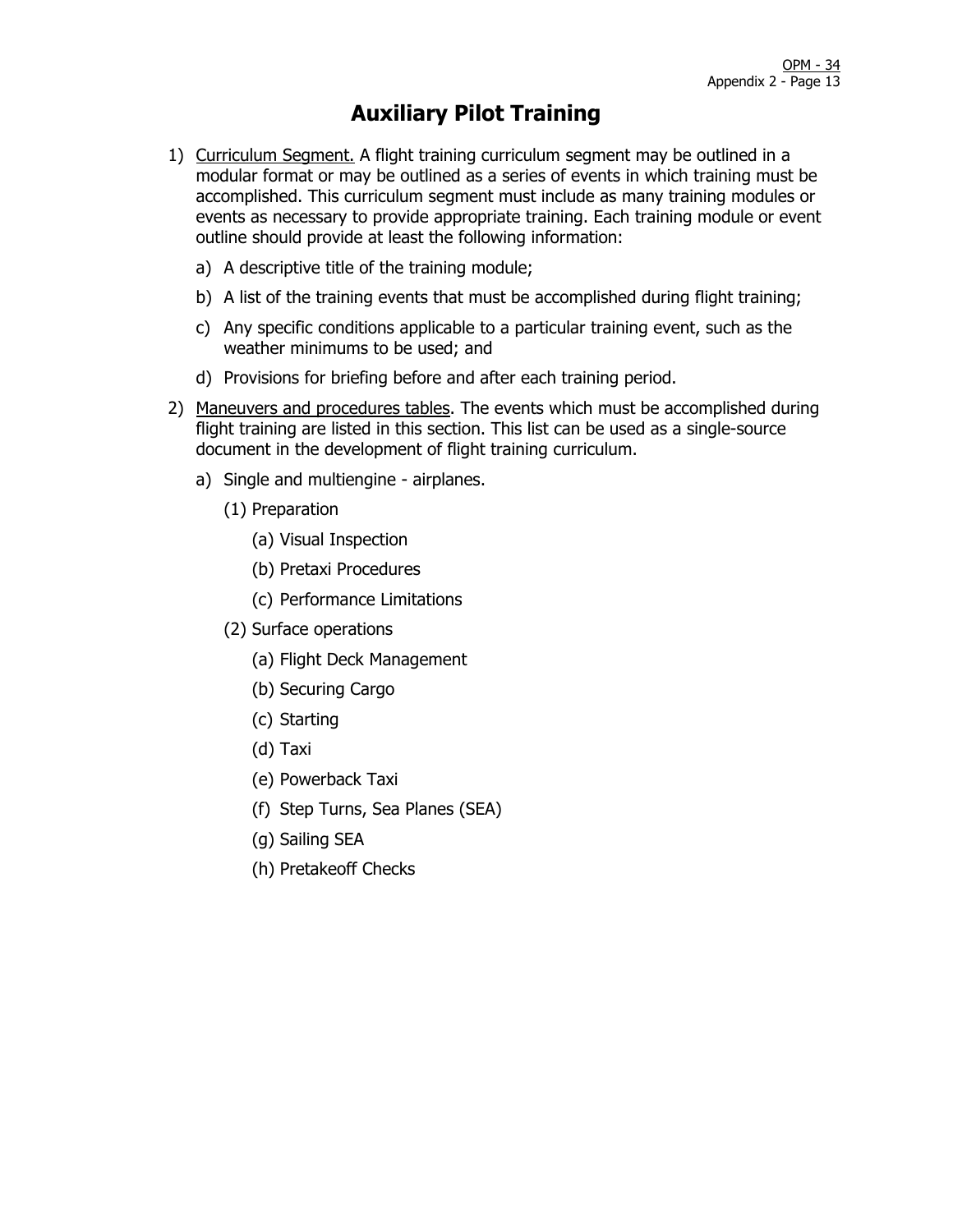- 1) Curriculum Segment. A flight training curriculum segment may be outlined in a modular format or may be outlined as a series of events in which training must be accomplished. This curriculum segment must include as many training modules or events as necessary to provide appropriate training. Each training module or event outline should provide at least the following information:
	- a) A descriptive title of the training module;
	- b) A list of the training events that must be accomplished during flight training;
	- c) Any specific conditions applicable to a particular training event, such as the weather minimums to be used; and
	- d) Provisions for briefing before and after each training period.
- 2) Maneuvers and procedures tables. The events which must be accomplished during flight training are listed in this section. This list can be used as a single-source document in the development of flight training curriculum.
	- a) Single and multiengine airplanes.
		- (1) Preparation
			- (a) Visual Inspection
			- (b) Pretaxi Procedures
			- (c) Performance Limitations
		- (2) Surface operations
			- (a) Flight Deck Management
			- (b) Securing Cargo
			- (c) Starting
			- (d) Taxi
			- (e) Powerback Taxi
			- (f) Step Turns, Sea Planes (SEA)
			- (g) Sailing SEA
			- (h) Pretakeoff Checks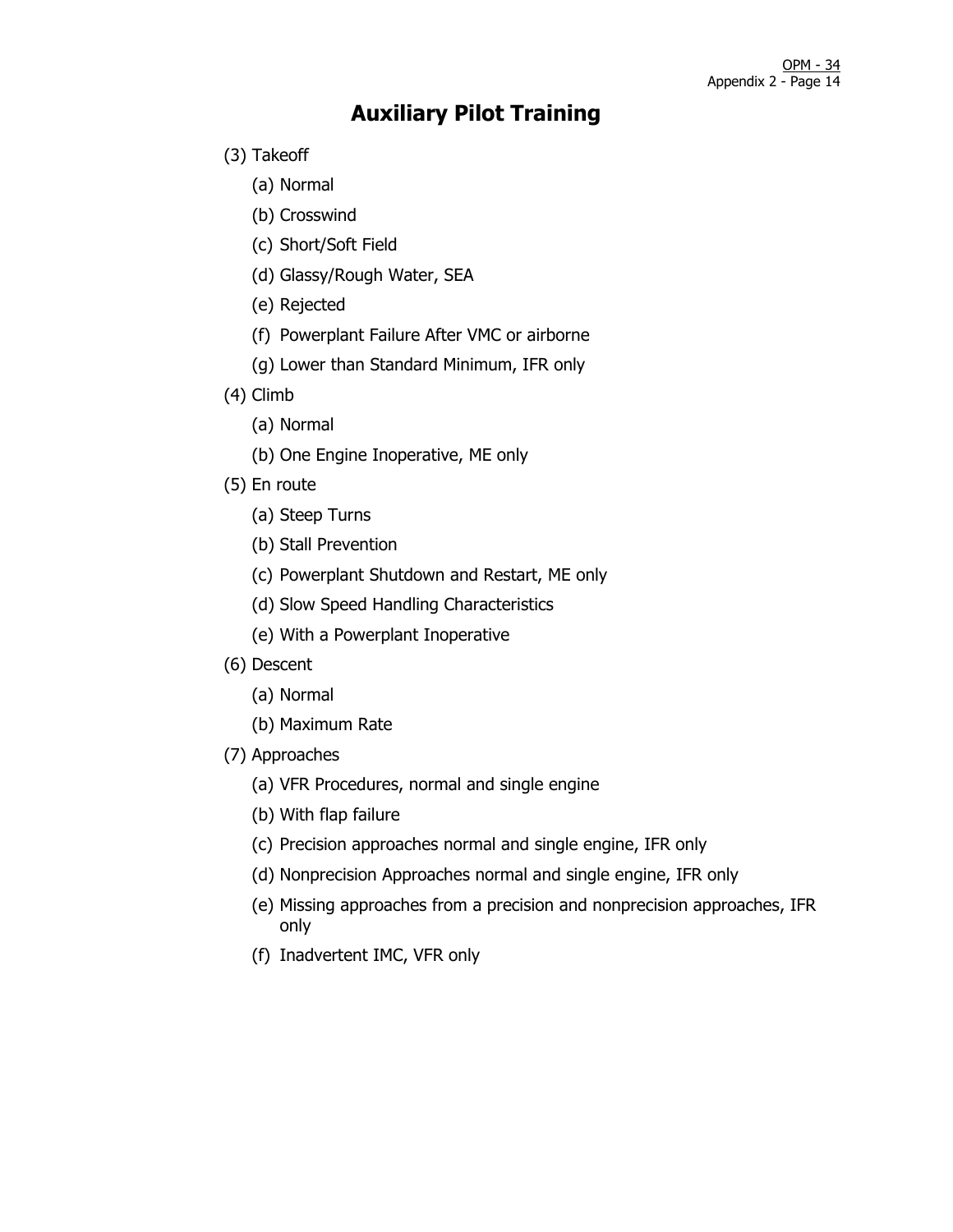- (3) Takeoff
	- (a) Normal
	- (b) Crosswind
	- (c) Short/Soft Field
	- (d) Glassy/Rough Water, SEA
	- (e) Rejected
	- (f) Powerplant Failure After VMC or airborne
	- (g) Lower than Standard Minimum, IFR only
- (4) Climb
	- (a) Normal
	- (b) One Engine Inoperative, ME only
- (5) En route
	- (a) Steep Turns
	- (b) Stall Prevention
	- (c) Powerplant Shutdown and Restart, ME only
	- (d) Slow Speed Handling Characteristics
	- (e) With a Powerplant Inoperative
- (6) Descent
	- (a) Normal
	- (b) Maximum Rate
- (7) Approaches
	- (a) VFR Procedures, normal and single engine
	- (b) With flap failure
	- (c) Precision approaches normal and single engine, IFR only
	- (d) Nonprecision Approaches normal and single engine, IFR only
	- (e) Missing approaches from a precision and nonprecision approaches, IFR only
	- (f) Inadvertent IMC, VFR only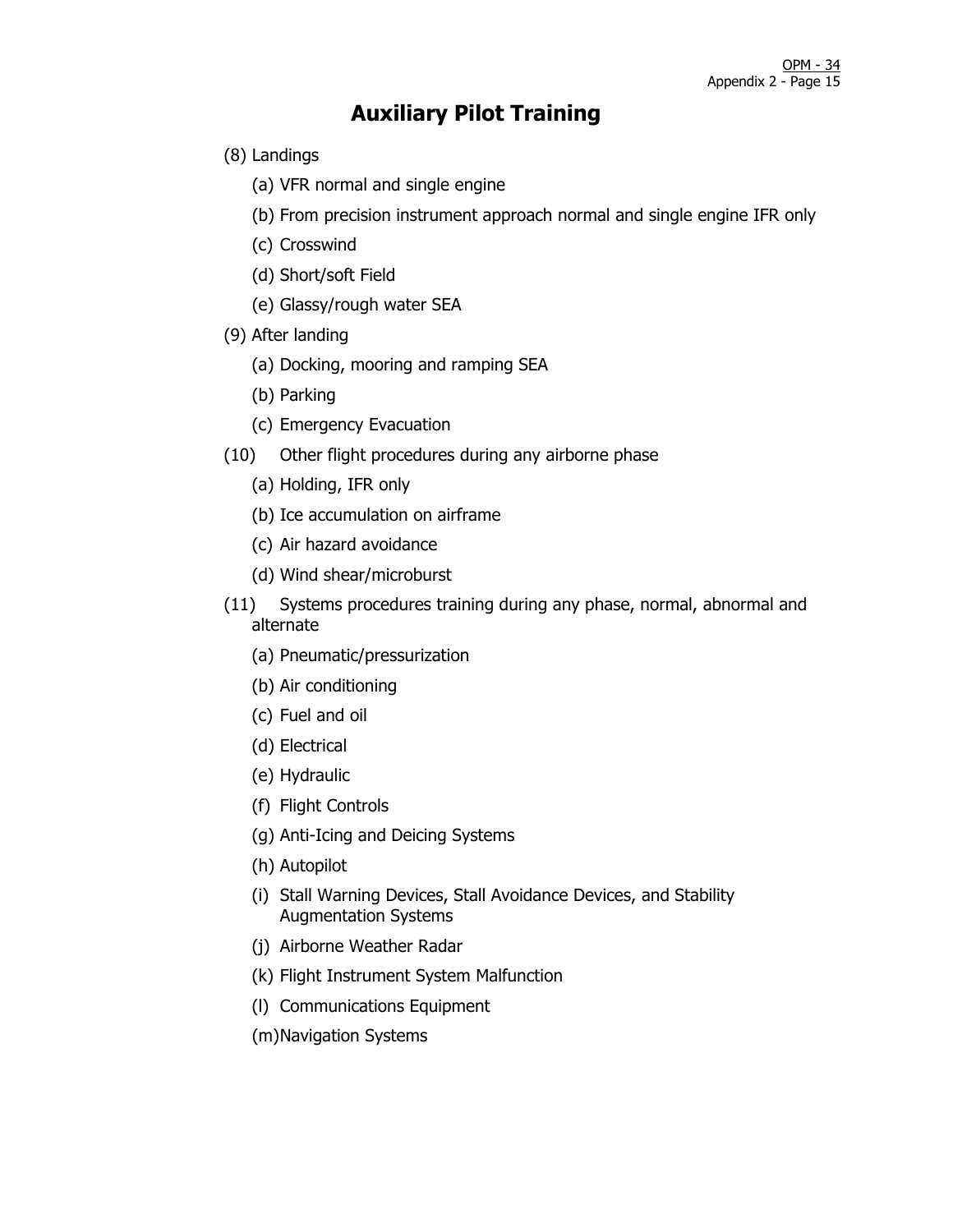- (8) Landings
	- (a) VFR normal and single engine
	- (b) From precision instrument approach normal and single engine IFR only
	- (c) Crosswind
	- (d) Short/soft Field
	- (e) Glassy/rough water SEA
- (9) After landing
	- (a) Docking, mooring and ramping SEA
	- (b) Parking
	- (c) Emergency Evacuation
- (10) Other flight procedures during any airborne phase
	- (a) Holding, IFR only
	- (b) Ice accumulation on airframe
	- (c) Air hazard avoidance
	- (d) Wind shear/microburst
- (11) Systems procedures training during any phase, normal, abnormal and alternate
	- (a) Pneumatic/pressurization
	- (b) Air conditioning
	- (c) Fuel and oil
	- (d) Electrical
	- (e) Hydraulic
	- (f) Flight Controls
	- (g) Anti-Icing and Deicing Systems
	- (h) Autopilot
	- (i) Stall Warning Devices, Stall Avoidance Devices, and Stability Augmentation Systems
	- (j) Airborne Weather Radar
	- (k) Flight Instrument System Malfunction
	- (l) Communications Equipment
	- (m)Navigation Systems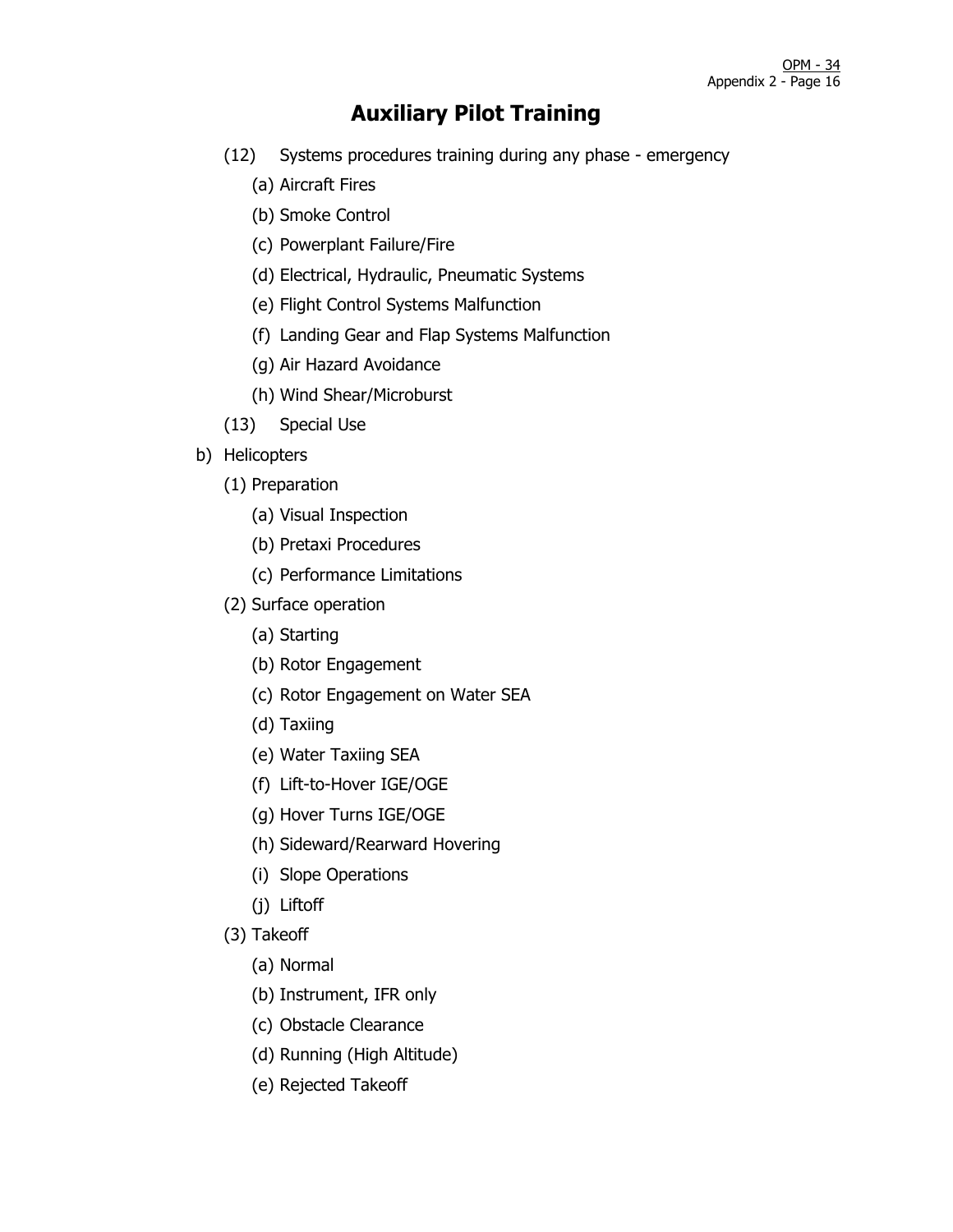- (12) Systems procedures training during any phase emergency
	- (a) Aircraft Fires
	- (b) Smoke Control
	- (c) Powerplant Failure/Fire
	- (d) Electrical, Hydraulic, Pneumatic Systems
	- (e) Flight Control Systems Malfunction
	- (f) Landing Gear and Flap Systems Malfunction
	- (g) Air Hazard Avoidance
	- (h) Wind Shear/Microburst
- (13) Special Use
- b) Helicopters
	- (1) Preparation
		- (a) Visual Inspection
		- (b) Pretaxi Procedures
		- (c) Performance Limitations
	- (2) Surface operation
		- (a) Starting
		- (b) Rotor Engagement
		- (c) Rotor Engagement on Water SEA
		- (d) Taxiing
		- (e) Water Taxiing SEA
		- (f) Lift-to-Hover IGE/OGE
		- (g) Hover Turns IGE/OGE
		- (h) Sideward/Rearward Hovering
		- (i) Slope Operations
		- (j) Liftoff
	- (3) Takeoff
		- (a) Normal
		- (b) Instrument, IFR only
		- (c) Obstacle Clearance
		- (d) Running (High Altitude)
		- (e) Rejected Takeoff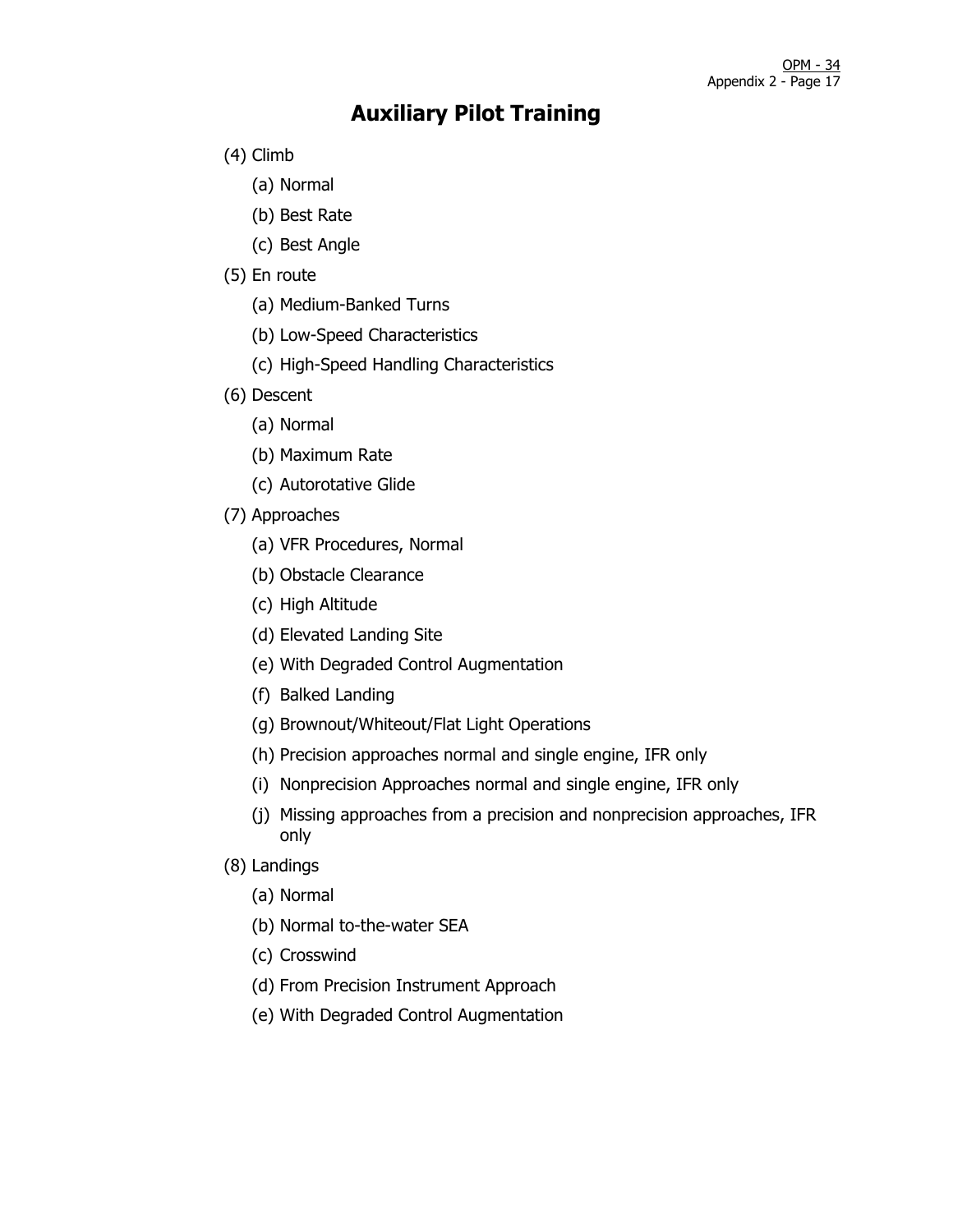- (4) Climb
	- (a) Normal
	- (b) Best Rate
	- (c) Best Angle
- (5) En route
	- (a) Medium-Banked Turns
	- (b) Low-Speed Characteristics
	- (c) High-Speed Handling Characteristics
- (6) Descent
	- (a) Normal
	- (b) Maximum Rate
	- (c) Autorotative Glide
- (7) Approaches
	- (a) VFR Procedures, Normal
	- (b) Obstacle Clearance
	- (c) High Altitude
	- (d) Elevated Landing Site
	- (e) With Degraded Control Augmentation
	- (f) Balked Landing
	- (g) Brownout/Whiteout/Flat Light Operations
	- (h) Precision approaches normal and single engine, IFR only
	- (i) Nonprecision Approaches normal and single engine, IFR only
	- (j) Missing approaches from a precision and nonprecision approaches, IFR only
- (8) Landings
	- (a) Normal
	- (b) Normal to-the-water SEA
	- (c) Crosswind
	- (d) From Precision Instrument Approach
	- (e) With Degraded Control Augmentation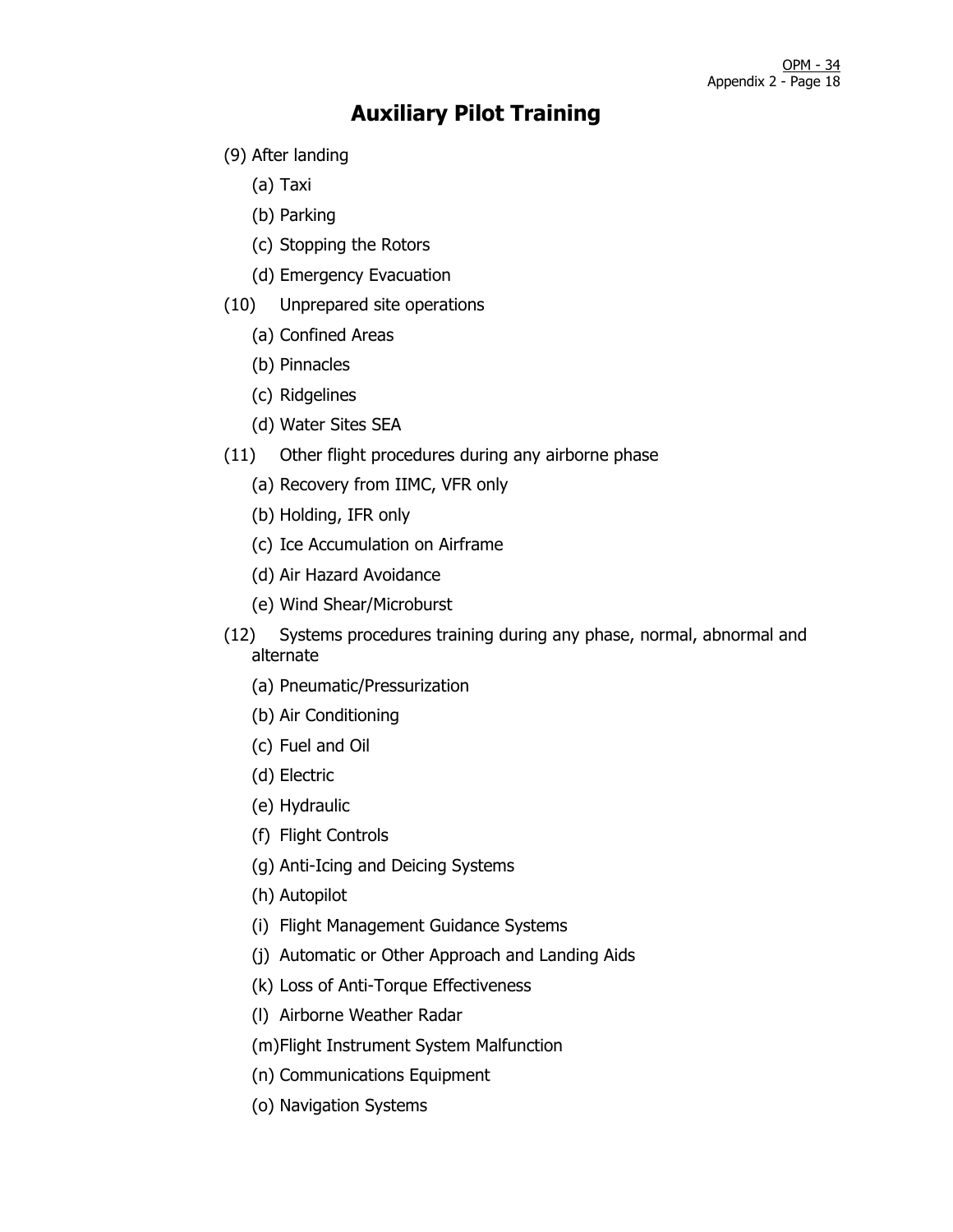- (9) After landing
	- (a) Taxi
	- (b) Parking
	- (c) Stopping the Rotors
	- (d) Emergency Evacuation
- (10) Unprepared site operations
	- (a) Confined Areas
	- (b) Pinnacles
	- (c) Ridgelines
	- (d) Water Sites SEA
- (11) Other flight procedures during any airborne phase
	- (a) Recovery from IIMC, VFR only
	- (b) Holding, IFR only
	- (c) Ice Accumulation on Airframe
	- (d) Air Hazard Avoidance
	- (e) Wind Shear/Microburst
- (12) Systems procedures training during any phase, normal, abnormal and alternate
	- (a) Pneumatic/Pressurization
	- (b) Air Conditioning
	- (c) Fuel and Oil
	- (d) Electric
	- (e) Hydraulic
	- (f) Flight Controls
	- (g) Anti-Icing and Deicing Systems
	- (h) Autopilot
	- (i) Flight Management Guidance Systems
	- (j) Automatic or Other Approach and Landing Aids
	- (k) Loss of Anti-Torque Effectiveness
	- (l) Airborne Weather Radar
	- (m)Flight Instrument System Malfunction
	- (n) Communications Equipment
	- (o) Navigation Systems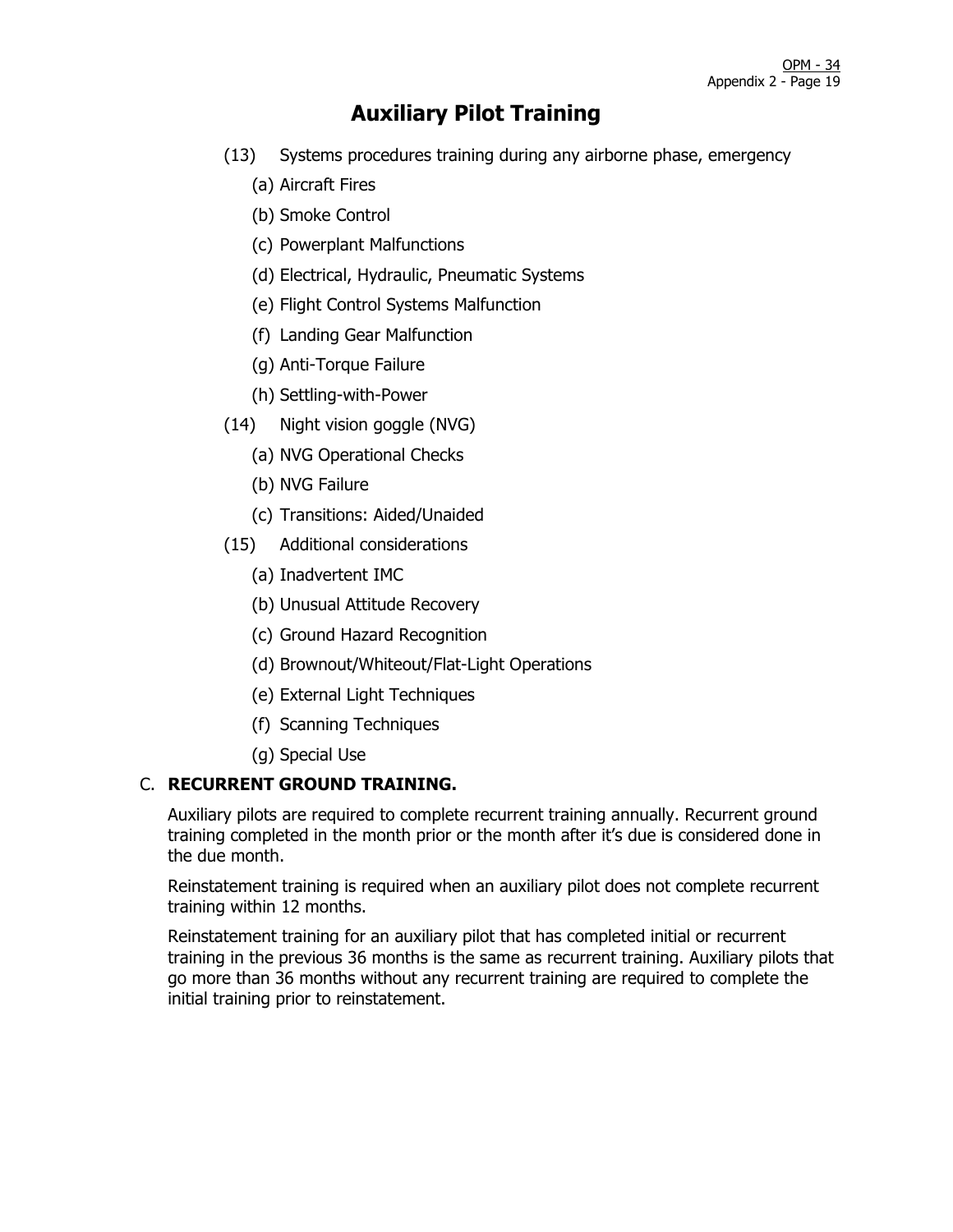- (13) Systems procedures training during any airborne phase, emergency
	- (a) Aircraft Fires
	- (b) Smoke Control
	- (c) Powerplant Malfunctions
	- (d) Electrical, Hydraulic, Pneumatic Systems
	- (e) Flight Control Systems Malfunction
	- (f) Landing Gear Malfunction
	- (g) Anti-Torque Failure
	- (h) Settling-with-Power
- (14) Night vision goggle (NVG)
	- (a) NVG Operational Checks
	- (b) NVG Failure
	- (c) Transitions: Aided/Unaided
- (15) Additional considerations
	- (a) Inadvertent IMC
	- (b) Unusual Attitude Recovery
	- (c) Ground Hazard Recognition
	- (d) Brownout/Whiteout/Flat-Light Operations
	- (e) External Light Techniques
	- (f) Scanning Techniques
	- (g) Special Use

#### C. **RECURRENT GROUND TRAINING.**

Auxiliary pilots are required to complete recurrent training annually. Recurrent ground training completed in the month prior or the month after it's due is considered done in the due month.

Reinstatement training is required when an auxiliary pilot does not complete recurrent training within 12 months.

Reinstatement training for an auxiliary pilot that has completed initial or recurrent training in the previous 36 months is the same as recurrent training. Auxiliary pilots that go more than 36 months without any recurrent training are required to complete the initial training prior to reinstatement.